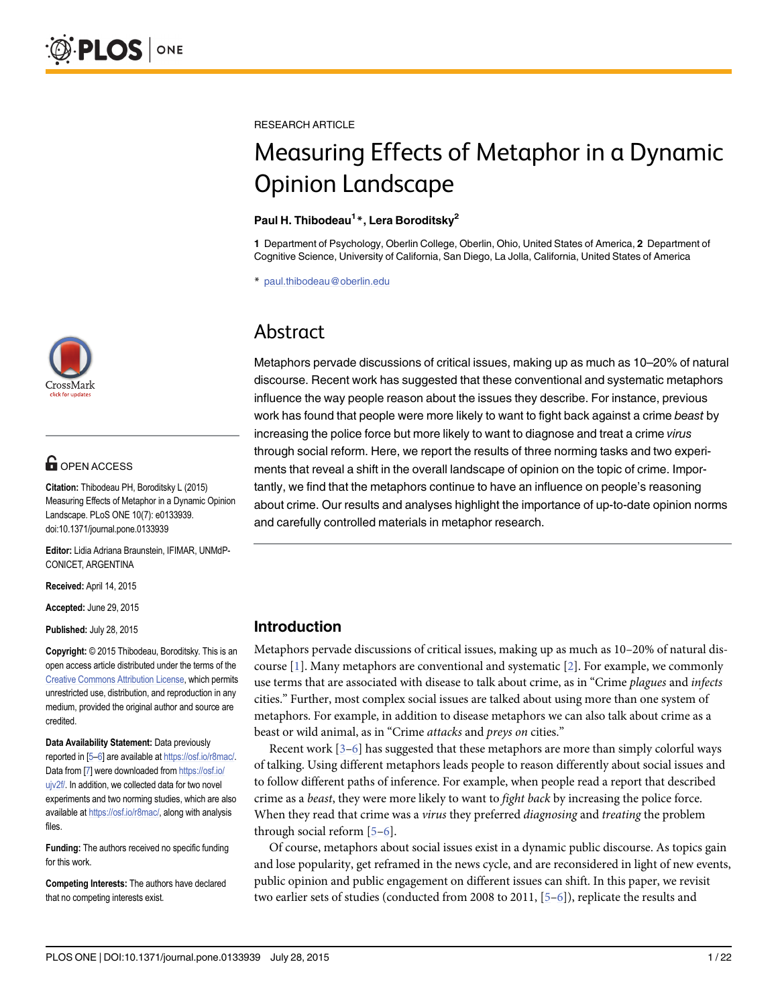

## **OPEN ACCESS**

Citation: Thibodeau PH, Boroditsky L (2015) Measuring Effects of Metaphor in a Dynamic Opinion Landscape. PLoS ONE 10(7): e0133939. doi:10.1371/journal.pone.0133939

Editor: Lidia Adriana Braunstein, IFIMAR, UNMdP-CONICET, ARGENTINA

Received: April 14, 2015

Accepted: June 29, 2015

Published: July 28, 2015

Copyright: © 2015 Thibodeau, Boroditsky. This is an open access article distributed under the terms of the [Creative Commons Attribution License,](http://creativecommons.org/licenses/by/4.0/) which permits unrestricted use, distribution, and reproduction in any medium, provided the original author and source are credited.

Data Availability Statement: Data previously reported in [[5](#page-20-0)–[6\]](#page-20-0) are available at <https://osf.io/r8mac/>. Data from [[7](#page-20-0)] were downloaded from [https://osf.io/](https://osf.io/ujv2f/) [ujv2f/](https://osf.io/ujv2f/). In addition, we collected data for two novel experiments and two norming studies, which are also available at <https://osf.io/r8mac/>, along with analysis files.

Funding: The authors received no specific funding for this work.

Competing Interests: The authors have declared that no competing interests exist.

<span id="page-0-0"></span>RESEARCH ARTICLE

# Measuring Effects of Metaphor in a Dynamic Opinion Landscape

#### Paul H. Thibodeau<sup>1</sup>\*, Lera Boroditsky<sup>2</sup>

1 Department of Psychology, Oberlin College, Oberlin, Ohio, United States of America, 2 Department of Cognitive Science, University of California, San Diego, La Jolla, California, United States of America

\* paul.thibodeau@oberlin.edu

## Abstract

Metaphors pervade discussions of critical issues, making up as much as 10–20% of natural discourse. Recent work has suggested that these conventional and systematic metaphors influence the way people reason about the issues they describe. For instance, previous work has found that people were more likely to want to fight back against a crime beast by increasing the police force but more likely to want to diagnose and treat a crime virus through social reform. Here, we report the results of three norming tasks and two experiments that reveal a shift in the overall landscape of opinion on the topic of crime. Importantly, we find that the metaphors continue to have an influence on people's reasoning about crime. Our results and analyses highlight the importance of up-to-date opinion norms and carefully controlled materials in metaphor research.

## Introduction

Metaphors pervade discussions of critical issues, making up as much as 10–20% of natural discourse  $[1]$  $[1]$ . Many metaphors are conventional and systematic  $[2]$  $[2]$ . For example, we commonly use terms that are associated with disease to talk about crime, as in "Crime plagues and infects cities." Further, most complex social issues are talked about using more than one system of metaphors. For example, in addition to disease metaphors we can also talk about crime as a beast or wild animal, as in "Crime attacks and preys on cities."

Recent work  $[3-6]$  $[3-6]$  $[3-6]$  has suggested that these metaphors are more than simply colorful ways of talking. Using different metaphors leads people to reason differently about social issues and to follow different paths of inference. For example, when people read a report that described crime as a *beast*, they were more likely to want to *fight back* by increasing the police force. When they read that crime was a *virus* they preferred *diagnosing* and *treating* the problem through social reform  $[5-6]$  $[5-6]$  $[5-6]$ .

Of course, metaphors about social issues exist in a dynamic public discourse. As topics gain and lose popularity, get reframed in the news cycle, and are reconsidered in light of new events, public opinion and public engagement on different issues can shift. In this paper, we revisit two earlier sets of studies (conducted from 2008 to 2011,  $[5-6]$  $[5-6]$  $[5-6]$  $[5-6]$  $[5-6]$ ), replicate the results and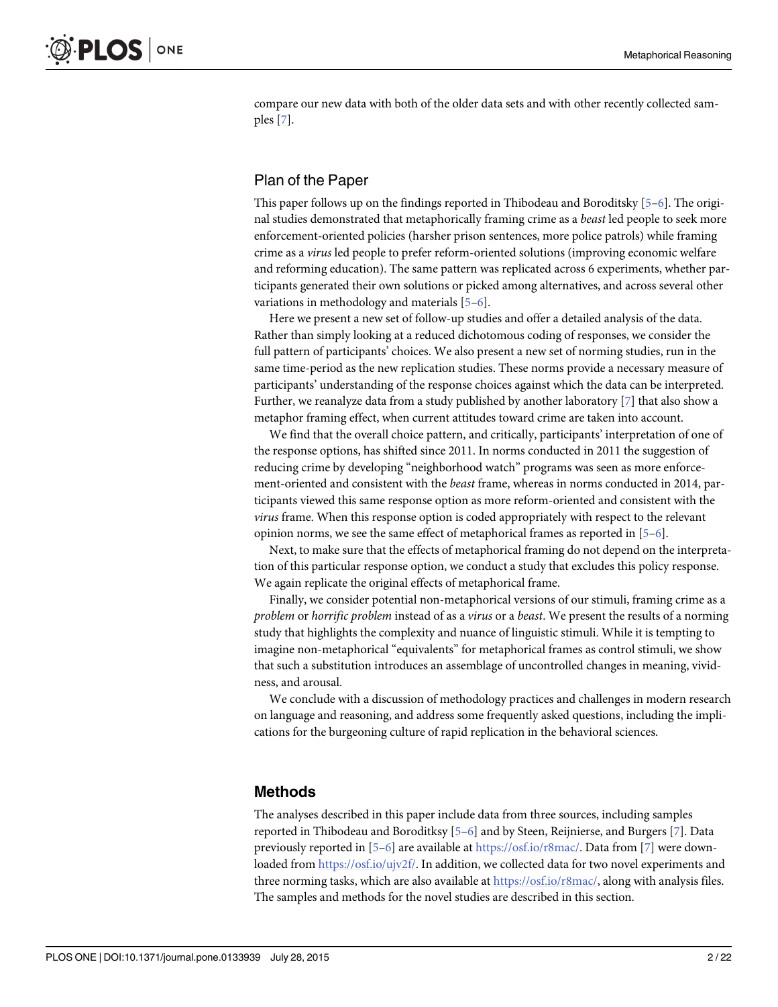compare our new data with both of the older data sets and with other recently collected samples [\[7\]](#page-20-0).

## Plan of the Paper

This paper follows up on the findings reported in Thibodeau and Boroditsky  $[5-6]$  $[5-6]$  $[5-6]$ . The original studies demonstrated that metaphorically framing crime as a beast led people to seek more enforcement-oriented policies (harsher prison sentences, more police patrols) while framing crime as a virus led people to prefer reform-oriented solutions (improving economic welfare and reforming education). The same pattern was replicated across 6 experiments, whether participants generated their own solutions or picked among alternatives, and across several other variations in methodology and materials [[5](#page-20-0)–[6\]](#page-20-0).

Here we present a new set of follow-up studies and offer a detailed analysis of the data. Rather than simply looking at a reduced dichotomous coding of responses, we consider the full pattern of participants' choices. We also present a new set of norming studies, run in the same time-period as the new replication studies. These norms provide a necessary measure of participants' understanding of the response choices against which the data can be interpreted. Further, we reanalyze data from a study published by another laboratory [[7\]](#page-20-0) that also show a metaphor framing effect, when current attitudes toward crime are taken into account.

We find that the overall choice pattern, and critically, participants' interpretation of one of the response options, has shifted since 2011. In norms conducted in 2011 the suggestion of reducing crime by developing "neighborhood watch" programs was seen as more enforcement-oriented and consistent with the beast frame, whereas in norms conducted in 2014, participants viewed this same response option as more reform-oriented and consistent with the virus frame. When this response option is coded appropriately with respect to the relevant opinion norms, we see the same effect of metaphorical frames as reported in [\[5](#page-20-0)–[6\]](#page-20-0).

Next, to make sure that the effects of metaphorical framing do not depend on the interpretation of this particular response option, we conduct a study that excludes this policy response. We again replicate the original effects of metaphorical frame.

Finally, we consider potential non-metaphorical versions of our stimuli, framing crime as a problem or horrific problem instead of as a virus or a beast. We present the results of a norming study that highlights the complexity and nuance of linguistic stimuli. While it is tempting to imagine non-metaphorical "equivalents" for metaphorical frames as control stimuli, we show that such a substitution introduces an assemblage of uncontrolled changes in meaning, vividness, and arousal.

We conclude with a discussion of methodology practices and challenges in modern research on language and reasoning, and address some frequently asked questions, including the implications for the burgeoning culture of rapid replication in the behavioral sciences.

## Methods

The analyses described in this paper include data from three sources, including samples reported in Thibodeau and Boroditksy [\[5](#page-20-0)–[6\]](#page-20-0) and by Steen, Reijnierse, and Burgers [\[7](#page-20-0)]. Data previously reported in  $[5-6]$  $[5-6]$  $[5-6]$  $[5-6]$  are available at <https://osf.io/r8mac/>. Data from [\[7](#page-20-0)] were downloaded from <https://osf.io/ujv2f/>. In addition, we collected data for two novel experiments and three norming tasks, which are also available at <https://osf.io/r8mac/>, along with analysis files. The samples and methods for the novel studies are described in this section.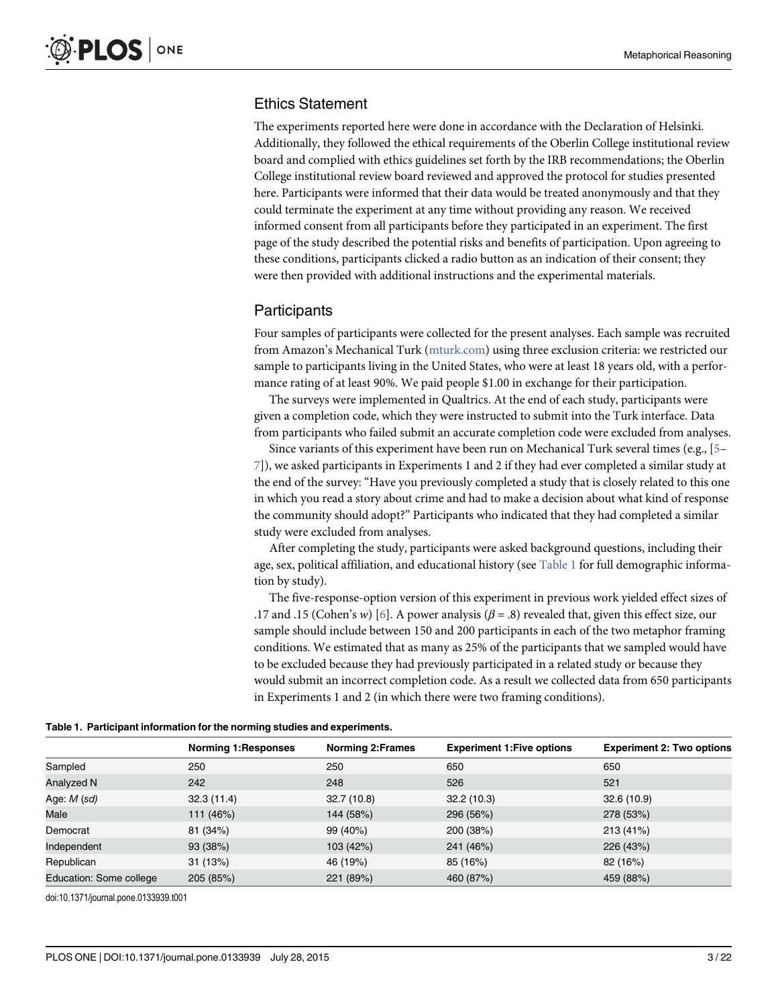## Ethics Statement

The experiments reported here were done in accordance with the Declaration of Helsinki. Additionally, they followed the ethical requirements of the Oberlin College institutional review board and complied with ethics guidelines set forth by the IRB recommendations; the Oberlin College institutional review board reviewed and approved the protocol for studies presented here. Participants were informed that their data would be treated anonymously and that they could terminate the experiment at any time without providing any reason. We received informed consent from all participants before they participated in an experiment. The first page of the study described the potential risks and benefits of participation. Upon agreeing to these conditions, participants clicked a radio button as an indication of their consent; they were then provided with additional instructions and the experimental materials.

## **Participants**

Four samples of participants were collected for the present analyses. Each sample was recruited from Amazon's Mechanical Turk ([mturk.com](http://mturk.com)) using three exclusion criteria: we restricted our sample to participants living in the United States, who were at least 18 years old, with a performance rating of at least 90%. We paid people \$1.00 in exchange for their participation.

The surveys were implemented in Qualtrics. At the end of each study, participants were given a completion code, which they were instructed to submit into the Turk interface. Data from participants who failed submit an accurate completion code were excluded from analyses.

Since variants of this experiment have been run on Mechanical Turk several times (e.g., [\[5](#page-20-0)– [7\]](#page-20-0)), we asked participants in Experiments 1 and 2 if they had ever completed a similar study at the end of the survey: "Have you previously completed a study that is closely related to this one in which you read a story about crime and had to make a decision about what kind of response the community should adopt?" Participants who indicated that they had completed a similar study were excluded from analyses.

After completing the study, participants were asked background questions, including their age, sex, political affiliation, and educational history (see Table 1 for full demographic information by study).

The five-response-option version of this experiment in previous work yielded effect sizes of .17 and .15 (Cohen's w) [[6\]](#page-20-0). A power analysis ( $\beta$  = .8) revealed that, given this effect size, our sample should include between 150 and 200 participants in each of the two metaphor framing conditions. We estimated that as many as 25% of the participants that we sampled would have to be excluded because they had previously participated in a related study or because they would submit an incorrect completion code. As a result we collected data from 650 participants in Experiments 1 and 2 (in which there were two framing conditions).

#### Table 1. Participant information for the norming studies and experiments.

|                         | <b>Norming 1: Responses</b> | <b>Norming 2: Frames</b> | <b>Experiment 1: Five options</b> | <b>Experiment 2: Two options</b> |
|-------------------------|-----------------------------|--------------------------|-----------------------------------|----------------------------------|
| Sampled                 | 250                         | 250                      | 650                               | 650                              |
| Analyzed N              | 242                         | 248                      | 526                               | 521                              |
| Age: M (sd)             | 32.3(11.4)                  | 32.7(10.8)               | 32.2(10.3)                        | 32.6(10.9)                       |
| Male                    | 111 (46%)                   | 144 (58%)                | 296 (56%)                         | 278 (53%)                        |
| Democrat                | 81 (34%)                    | 99 (40%)                 | 200 (38%)                         | 213 (41%)                        |
| Independent             | 93 (38%)                    | 103 (42%)                | 241 (46%)                         | 226 (43%)                        |
| Republican              | 31(13%)                     | 46 (19%)                 | 85 (16%)                          | 82 (16%)                         |
| Education: Some college | 205 (85%)                   | 221 (89%)                | 460 (87%)                         | 459 (88%)                        |

doi:10.1371/journal.pone.0133939.t001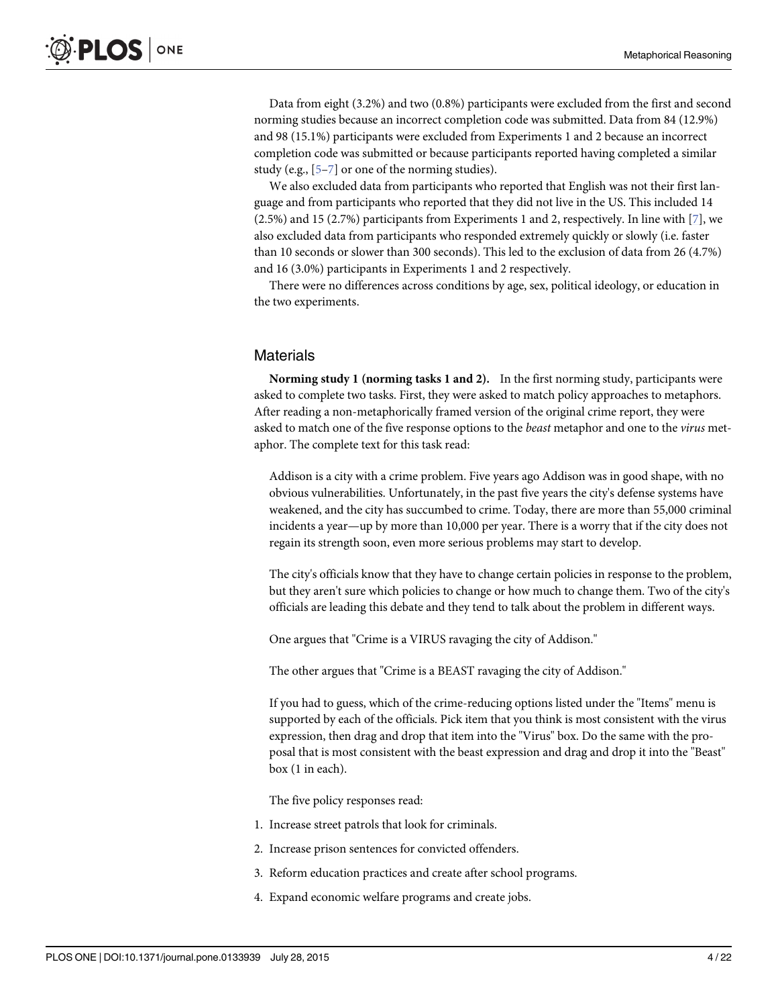Data from eight (3.2%) and two (0.8%) participants were excluded from the first and second norming studies because an incorrect completion code was submitted. Data from 84 (12.9%) and 98 (15.1%) participants were excluded from Experiments 1 and 2 because an incorrect completion code was submitted or because participants reported having completed a similar study (e.g., [\[5](#page-20-0)–[7\]](#page-20-0) or one of the norming studies).

We also excluded data from participants who reported that English was not their first language and from participants who reported that they did not live in the US. This included 14 (2.5%) and 15 (2.7%) participants from Experiments 1 and 2, respectively. In line with  $[7]$  $[7]$ , we also excluded data from participants who responded extremely quickly or slowly (i.e. faster than 10 seconds or slower than 300 seconds). This led to the exclusion of data from 26 (4.7%) and 16 (3.0%) participants in Experiments 1 and 2 respectively.

There were no differences across conditions by age, sex, political ideology, or education in the two experiments.

### **Materials**

Norming study 1 (norming tasks 1 and 2). In the first norming study, participants were asked to complete two tasks. First, they were asked to match policy approaches to metaphors. After reading a non-metaphorically framed version of the original crime report, they were asked to match one of the five response options to the *beast* metaphor and one to the *virus* metaphor. The complete text for this task read:

Addison is a city with a crime problem. Five years ago Addison was in good shape, with no obvious vulnerabilities. Unfortunately, in the past five years the city's defense systems have weakened, and the city has succumbed to crime. Today, there are more than 55,000 criminal incidents a year—up by more than 10,000 per year. There is a worry that if the city does not regain its strength soon, even more serious problems may start to develop.

The city's officials know that they have to change certain policies in response to the problem, but they aren't sure which policies to change or how much to change them. Two of the city's officials are leading this debate and they tend to talk about the problem in different ways.

One argues that "Crime is a VIRUS ravaging the city of Addison."

The other argues that "Crime is a BEAST ravaging the city of Addison."

If you had to guess, which of the crime-reducing options listed under the "Items" menu is supported by each of the officials. Pick item that you think is most consistent with the virus expression, then drag and drop that item into the "Virus" box. Do the same with the proposal that is most consistent with the beast expression and drag and drop it into the "Beast" box (1 in each).

The five policy responses read:

- 1. Increase street patrols that look for criminals.
- 2. Increase prison sentences for convicted offenders.
- 3. Reform education practices and create after school programs.
- 4. Expand economic welfare programs and create jobs.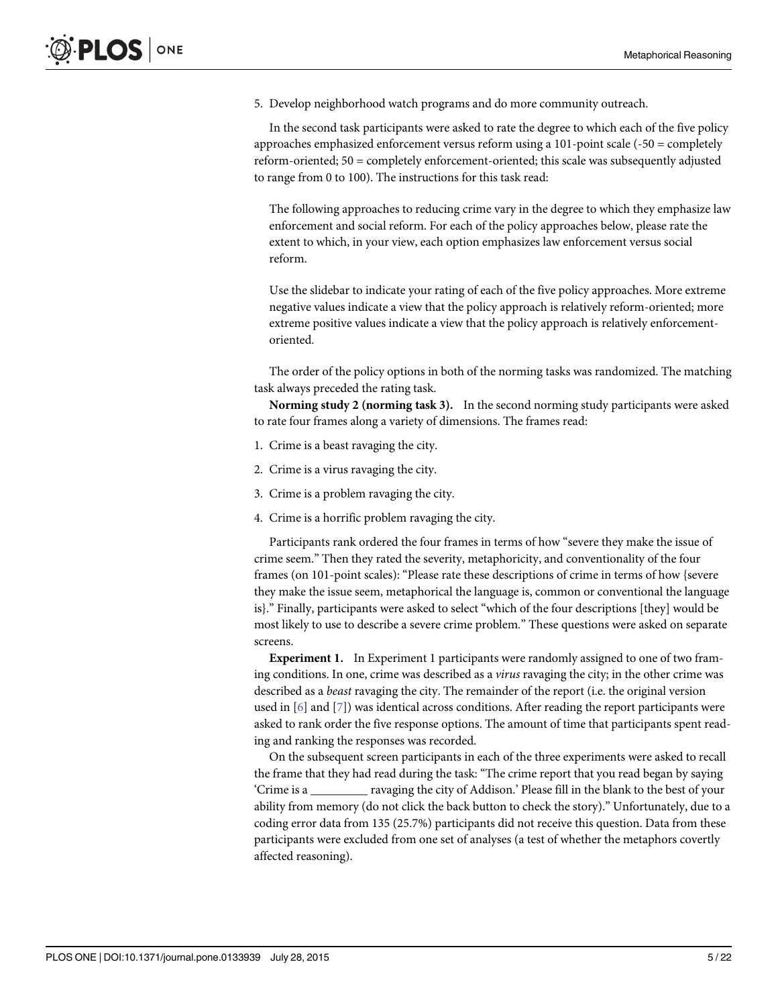5. Develop neighborhood watch programs and do more community outreach.

In the second task participants were asked to rate the degree to which each of the five policy approaches emphasized enforcement versus reform using a 101-point scale (-50 = completely reform-oriented; 50 = completely enforcement-oriented; this scale was subsequently adjusted to range from 0 to 100). The instructions for this task read:

The following approaches to reducing crime vary in the degree to which they emphasize law enforcement and social reform. For each of the policy approaches below, please rate the extent to which, in your view, each option emphasizes law enforcement versus social reform.

Use the slidebar to indicate your rating of each of the five policy approaches. More extreme negative values indicate a view that the policy approach is relatively reform-oriented; more extreme positive values indicate a view that the policy approach is relatively enforcementoriented.

The order of the policy options in both of the norming tasks was randomized. The matching task always preceded the rating task.

Norming study 2 (norming task 3). In the second norming study participants were asked to rate four frames along a variety of dimensions. The frames read:

- 1. Crime is a beast ravaging the city.
- 2. Crime is a virus ravaging the city.
- 3. Crime is a problem ravaging the city.
- 4. Crime is a horrific problem ravaging the city.

Participants rank ordered the four frames in terms of how "severe they make the issue of crime seem." Then they rated the severity, metaphoricity, and conventionality of the four frames (on 101-point scales): "Please rate these descriptions of crime in terms of how {severe they make the issue seem, metaphorical the language is, common or conventional the language is}." Finally, participants were asked to select "which of the four descriptions [they] would be most likely to use to describe a severe crime problem." These questions were asked on separate screens.

Experiment 1. In Experiment 1 participants were randomly assigned to one of two framing conditions. In one, crime was described as a *virus* ravaging the city; in the other crime was described as a beast ravaging the city. The remainder of the report (i.e. the original version used in  $[6]$  and  $[7]$  $[7]$ ) was identical across conditions. After reading the report participants were asked to rank order the five response options. The amount of time that participants spent reading and ranking the responses was recorded.

On the subsequent screen participants in each of the three experiments were asked to recall the frame that they had read during the task: "The crime report that you read began by saying 'Crime is a \_\_\_\_\_\_\_\_\_ ravaging the city of Addison.' Please fill in the blank to the best of your ability from memory (do not click the back button to check the story)." Unfortunately, due to a coding error data from 135 (25.7%) participants did not receive this question. Data from these participants were excluded from one set of analyses (a test of whether the metaphors covertly affected reasoning).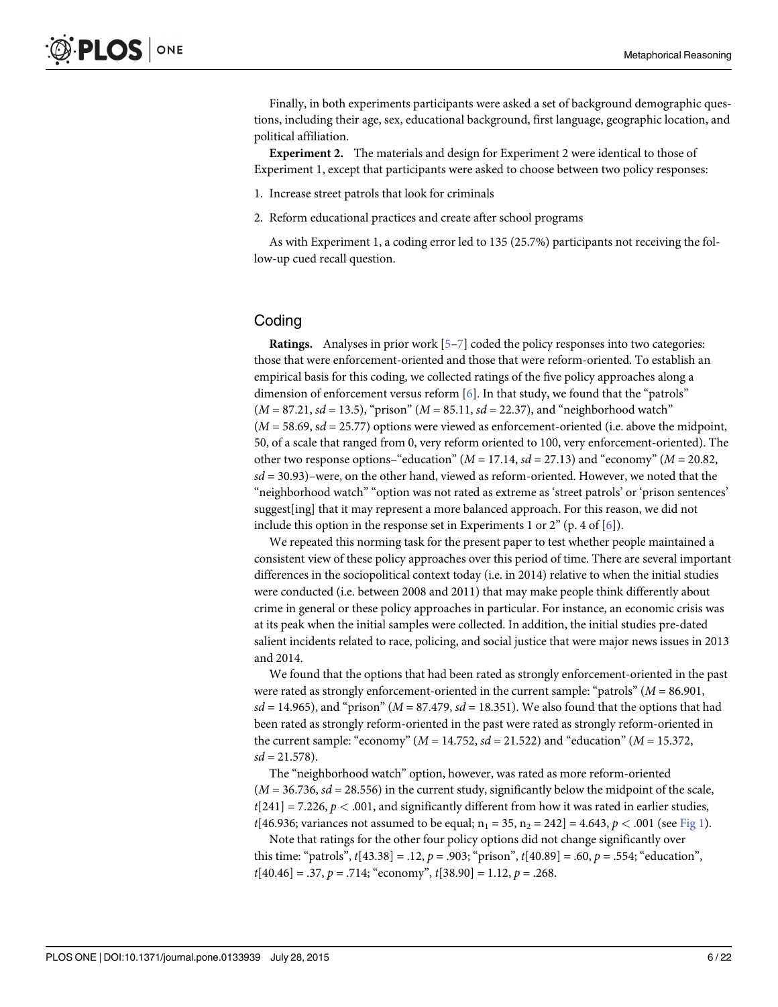<span id="page-5-0"></span>Finally, in both experiments participants were asked a set of background demographic questions, including their age, sex, educational background, first language, geographic location, and political affiliation.

Experiment 2. The materials and design for Experiment 2 were identical to those of Experiment 1, except that participants were asked to choose between two policy responses:

- 1. Increase street patrols that look for criminals
- 2. Reform educational practices and create after school programs

As with Experiment 1, a coding error led to 135 (25.7%) participants not receiving the follow-up cued recall question.

## **Coding**

Ratings. Analyses in prior work [\[5](#page-20-0)–[7\]](#page-20-0) coded the policy responses into two categories: those that were enforcement-oriented and those that were reform-oriented. To establish an empirical basis for this coding, we collected ratings of the five policy approaches along a dimension of enforcement versus reform [\[6](#page-20-0)]. In that study, we found that the "patrols"  $(M = 87.21, sd = 13.5)$ , "prison"  $(M = 85.11, sd = 22.37)$ , and "neighborhood watch"  $(M = 58.69, sd = 25.77)$  options were viewed as enforcement-oriented (i.e. above the midpoint, 50, of a scale that ranged from 0, very reform oriented to 100, very enforcement-oriented). The other two response options–"education" ( $M = 17.14$ ,  $sd = 27.13$ ) and "economy" ( $M = 20.82$ ,  $sd = 30.93$ )–were, on the other hand, viewed as reform-oriented. However, we noted that the "neighborhood watch" "option was not rated as extreme as 'street patrols' or 'prison sentences' suggest[ing] that it may represent a more balanced approach. For this reason, we did not include this option in the response set in Experiments 1 or  $2^{\prime\prime}$  (p. 4 of [\[6\]](#page-20-0)).

We repeated this norming task for the present paper to test whether people maintained a consistent view of these policy approaches over this period of time. There are several important differences in the sociopolitical context today (i.e. in 2014) relative to when the initial studies were conducted (i.e. between 2008 and 2011) that may make people think differently about crime in general or these policy approaches in particular. For instance, an economic crisis was at its peak when the initial samples were collected. In addition, the initial studies pre-dated salient incidents related to race, policing, and social justice that were major news issues in 2013 and 2014.

We found that the options that had been rated as strongly enforcement-oriented in the past were rated as strongly enforcement-oriented in the current sample: "patrols" ( $M = 86.901$ ,  $sd = 14.965$ , and "prison" ( $M = 87.479$ ,  $sd = 18.351$ ). We also found that the options that had been rated as strongly reform-oriented in the past were rated as strongly reform-oriented in the current sample: "economy" ( $M = 14.752$ ,  $sd = 21.522$ ) and "education" ( $M = 15.372$ ,  $sd = 21.578$ ).

The "neighborhood watch" option, however, was rated as more reform-oriented  $(M = 36.736, sd = 28.556)$  in the current study, significantly below the midpoint of the scale,  $t[241] = 7.226, p < .001$ , and significantly different from how it was rated in earlier studies,  $t[46.936; \text{ variances not assumed to be equal}; n_1 = 35, n_2 = 242] = 4.643, p < .001 \text{ (see Fig 1)}.$  $t[46.936; \text{ variances not assumed to be equal}; n_1 = 35, n_2 = 242] = 4.643, p < .001 \text{ (see Fig 1)}.$  $t[46.936; \text{ variances not assumed to be equal}; n_1 = 35, n_2 = 242] = 4.643, p < .001 \text{ (see Fig 1)}.$ 

Note that ratings for the other four policy options did not change significantly over this time: "patrols",  $t$ [43.38] = .12,  $p = .903$ ; "prison",  $t$ [40.89] = .60,  $p = .554$ ; "education",  $t[40.46] = .37, p = .714$ ; "economy",  $t[38.90] = 1.12, p = .268$ .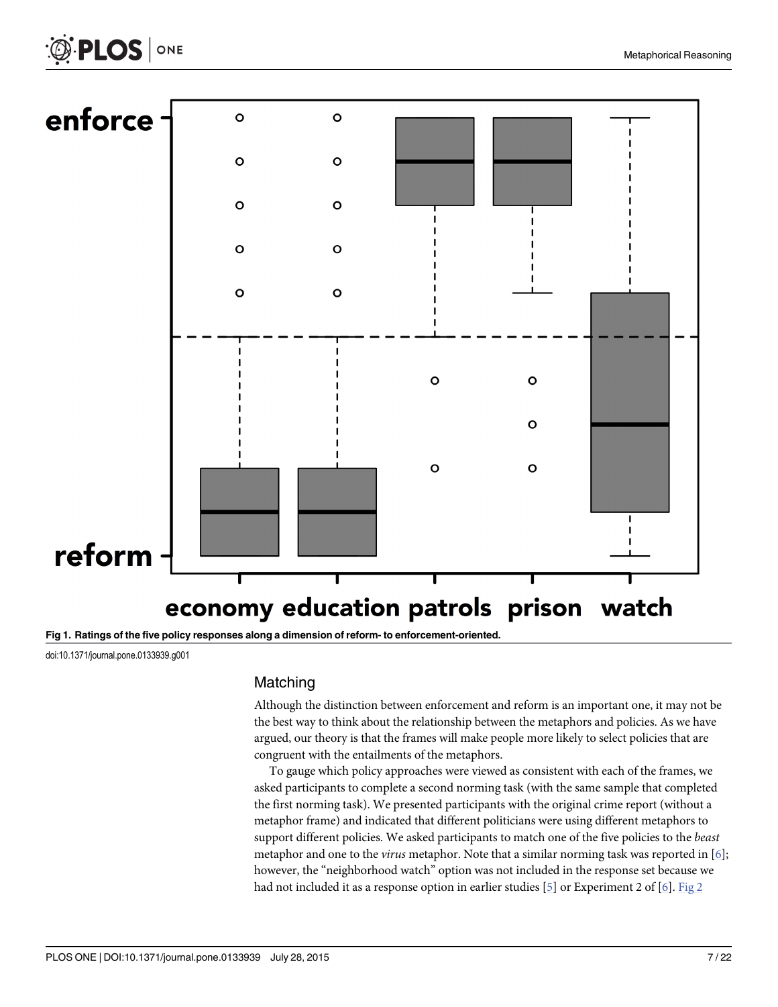

[Fig 1. R](#page-5-0)atings of the five policy responses along a dimension of reform- to enforcement-oriented.

doi:10.1371/journal.pone.0133939.g001

<span id="page-6-0"></span> $\bigcircled{{}^5}$  PLOS  $|$  one

## Matching

Although the distinction between enforcement and reform is an important one, it may not be the best way to think about the relationship between the metaphors and policies. As we have argued, our theory is that the frames will make people more likely to select policies that are congruent with the entailments of the metaphors.

To gauge which policy approaches were viewed as consistent with each of the frames, we asked participants to complete a second norming task (with the same sample that completed the first norming task). We presented participants with the original crime report (without a metaphor frame) and indicated that different politicians were using different metaphors to support different policies. We asked participants to match one of the five policies to the beast metaphor and one to the *virus* metaphor. Note that a similar norming task was reported in  $[6]$ ; however, the "neighborhood watch" option was not included in the response set because we had not included it as a response option in earlier studies [\[5](#page-20-0)] or Experiment 2 of [\[6\]](#page-20-0). [Fig 2](#page-7-0)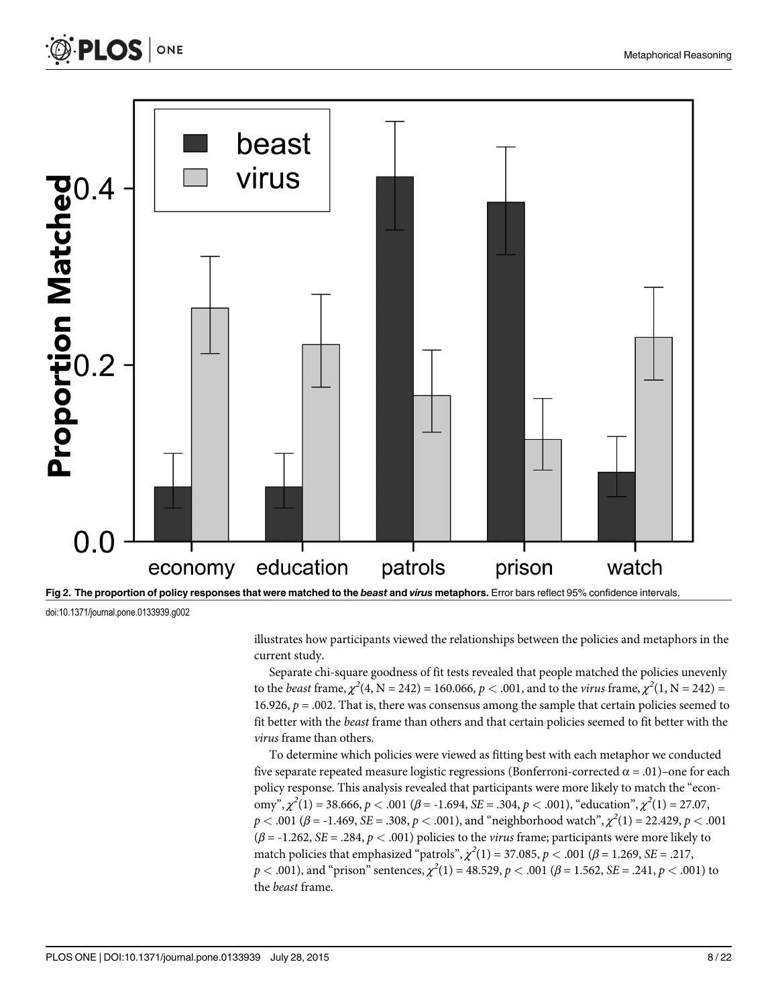<span id="page-7-0"></span>



doi:10.1371/journal.pone.0133939.g002

illustrates how participants viewed the relationships between the policies and metaphors in the current study.

Separate chi-square goodness of fit tests revealed that people matched the policies unevenly to the *beast* frame,  $\chi^2(4, N = 242) = 160.066, p < .001$ , and to the *virus* frame,  $\chi^2(1, N = 242) =$ 16.926,  $p = .002$ . That is, there was consensus among the sample that certain policies seemed to fit better with the beast frame than others and that certain policies seemed to fit better with the virus frame than others.

To determine which policies were viewed as fitting best with each metaphor we conducted five separate repeated measure logistic regressions (Bonferroni-corrected  $\alpha = .01$ )-one for each policy response. This analysis revealed that participants were more likely to match the "economy",  $\chi^2(1) = 38.666$ ,  $p < .001$  ( $\beta = -1.694$ ,  $SE = .304$ ,  $p < .001$ ), "education",  $\chi^2(1) = 27.07$ ,  $p < .001$  ( $\beta$  = -1.469, SE = .308,  $p < .001$ ), and "neighborhood watch",  $\chi^2(1)$  = 22.429,  $p < .001$  $(\beta = -1.262, SE = .284, p < .001)$  policies to the *virus* frame; participants were more likely to match policies that emphasized "patrols",  $\chi^2(1) = 37.085$ ,  $p < .001$  ( $\beta = 1.269$ , SE = .217,  $p < .001$ ), and "prison" sentences,  $\chi^2(1) = 48.529, p < .001$  ( $\beta = 1.562, SE = .241, p < .001$ ) to the beast frame.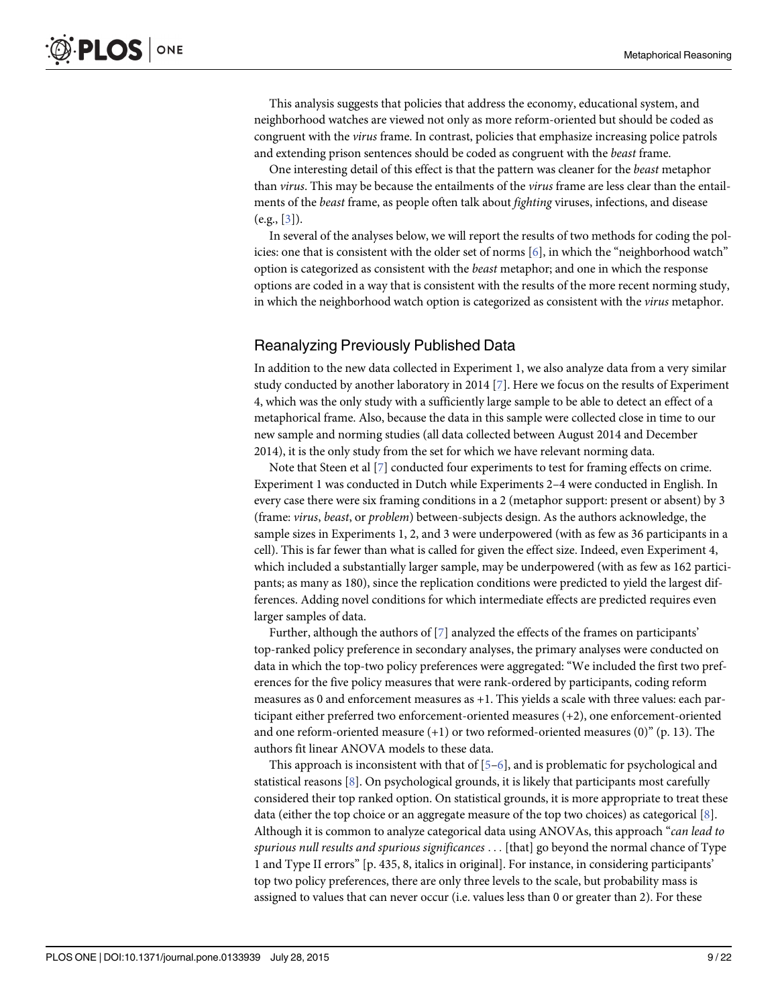<span id="page-8-0"></span>This analysis suggests that policies that address the economy, educational system, and neighborhood watches are viewed not only as more reform-oriented but should be coded as congruent with the *virus* frame. In contrast, policies that emphasize increasing police patrols and extending prison sentences should be coded as congruent with the beast frame.

One interesting detail of this effect is that the pattern was cleaner for the *beast* metaphor than virus. This may be because the entailments of the virus frame are less clear than the entailments of the beast frame, as people often talk about fighting viruses, infections, and disease  $(e.g., [3]).$  $(e.g., [3]).$  $(e.g., [3]).$ 

In several of the analyses below, we will report the results of two methods for coding the policies: one that is consistent with the older set of norms [\[6\]](#page-20-0), in which the "neighborhood watch" option is categorized as consistent with the beast metaphor; and one in which the response options are coded in a way that is consistent with the results of the more recent norming study, in which the neighborhood watch option is categorized as consistent with the virus metaphor.

## Reanalyzing Previously Published Data

In addition to the new data collected in Experiment 1, we also analyze data from a very similar study conducted by another laboratory in 2014 [\[7\]](#page-20-0). Here we focus on the results of Experiment 4, which was the only study with a sufficiently large sample to be able to detect an effect of a metaphorical frame. Also, because the data in this sample were collected close in time to our new sample and norming studies (all data collected between August 2014 and December 2014), it is the only study from the set for which we have relevant norming data.

Note that Steen et al [\[7](#page-20-0)] conducted four experiments to test for framing effects on crime. Experiment 1 was conducted in Dutch while Experiments 2–4 were conducted in English. In every case there were six framing conditions in a 2 (metaphor support: present or absent) by 3 (frame: virus, beast, or problem) between-subjects design. As the authors acknowledge, the sample sizes in Experiments 1, 2, and 3 were underpowered (with as few as 36 participants in a cell). This is far fewer than what is called for given the effect size. Indeed, even Experiment 4, which included a substantially larger sample, may be underpowered (with as few as 162 participants; as many as 180), since the replication conditions were predicted to yield the largest differences. Adding novel conditions for which intermediate effects are predicted requires even larger samples of data.

Further, although the authors of [[7\]](#page-20-0) analyzed the effects of the frames on participants' top-ranked policy preference in secondary analyses, the primary analyses were conducted on data in which the top-two policy preferences were aggregated: "We included the first two preferences for the five policy measures that were rank-ordered by participants, coding reform measures as 0 and enforcement measures as +1. This yields a scale with three values: each participant either preferred two enforcement-oriented measures (+2), one enforcement-oriented and one reform-oriented measure  $(+1)$  or two reformed-oriented measures  $(0)$ " (p. 13). The authors fit linear ANOVA models to these data.

This approach is inconsistent with that of  $[5-6]$  $[5-6]$  $[5-6]$  $[5-6]$  $[5-6]$ , and is problematic for psychological and statistical reasons [[8\]](#page-20-0). On psychological grounds, it is likely that participants most carefully considered their top ranked option. On statistical grounds, it is more appropriate to treat these data (either the top choice or an aggregate measure of the top two choices) as categorical  $[8]$  $[8]$ . Although it is common to analyze categorical data using ANOVAs, this approach "can lead to spurious null results and spurious significances ... [that] go beyond the normal chance of Type 1 and Type II errors" [p. 435, 8, italics in original]. For instance, in considering participants' top two policy preferences, there are only three levels to the scale, but probability mass is assigned to values that can never occur (i.e. values less than 0 or greater than 2). For these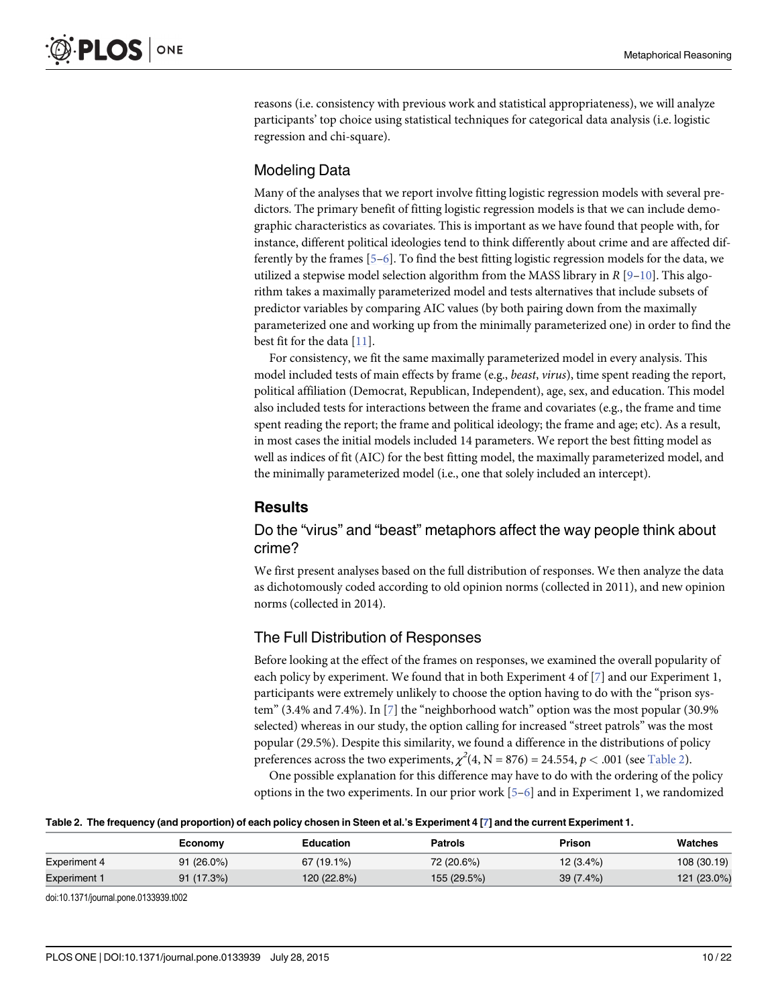<span id="page-9-0"></span>reasons (i.e. consistency with previous work and statistical appropriateness), we will analyze participants' top choice using statistical techniques for categorical data analysis (i.e. logistic regression and chi-square).

## Modeling Data

Many of the analyses that we report involve fitting logistic regression models with several predictors. The primary benefit of fitting logistic regression models is that we can include demographic characteristics as covariates. This is important as we have found that people with, for instance, different political ideologies tend to think differently about crime and are affected differently by the frames  $[5-6]$  $[5-6]$  $[5-6]$  $[5-6]$  $[5-6]$ . To find the best fitting logistic regression models for the data, we utilized a stepwise model selection algorithm from the MASS library in  $R$  [[9](#page-21-0)–[10](#page-21-0)]. This algorithm takes a maximally parameterized model and tests alternatives that include subsets of predictor variables by comparing AIC values (by both pairing down from the maximally parameterized one and working up from the minimally parameterized one) in order to find the best fit for the data [[11\]](#page-21-0).

For consistency, we fit the same maximally parameterized model in every analysis. This model included tests of main effects by frame (e.g., beast, virus), time spent reading the report, political affiliation (Democrat, Republican, Independent), age, sex, and education. This model also included tests for interactions between the frame and covariates (e.g., the frame and time spent reading the report; the frame and political ideology; the frame and age; etc). As a result, in most cases the initial models included 14 parameters. We report the best fitting model as well as indices of fit (AIC) for the best fitting model, the maximally parameterized model, and the minimally parameterized model (i.e., one that solely included an intercept).

## Results

## Do the "virus" and "beast" metaphors affect the way people think about crime?

We first present analyses based on the full distribution of responses. We then analyze the data as dichotomously coded according to old opinion norms (collected in 2011), and new opinion norms (collected in 2014).

## The Full Distribution of Responses

Before looking at the effect of the frames on responses, we examined the overall popularity of each policy by experiment. We found that in both Experiment 4 of  $\lbrack 7 \rbrack$  and our Experiment 1, participants were extremely unlikely to choose the option having to do with the "prison system" (3.4% and 7.4%). In [\[7\]](#page-20-0) the "neighborhood watch" option was the most popular (30.9% selected) whereas in our study, the option calling for increased "street patrols" was the most popular (29.5%). Despite this similarity, we found a difference in the distributions of policy preferences across the two experiments,  $\chi^2(4, N = 876) = 24.554, p < .001$  (see Table 2).

One possible explanation for this difference may have to do with the ordering of the policy options in the two experiments. In our prior work  $[5-6]$  $[5-6]$  $[5-6]$  $[5-6]$  $[5-6]$  and in Experiment 1, we randomized

#### Table 2. The frequency (and proportion) of each policy chosen in Steen et al.'s Experiment 4 [\[7\]](#page-20-0) and the current Experiment 1.

|                     | Economy      | Education   | <b>Patrols</b> | Prison      | Watches     |
|---------------------|--------------|-------------|----------------|-------------|-------------|
| <b>Experiment 4</b> | $91(26.0\%)$ | 67 (19.1%)  | 72 (20.6%)     | $12(3.4\%)$ | 108 (30.19) |
| <b>Experiment 1</b> | 91(17.3%)    | 120 (22.8%) | 155 (29.5%)    | $39(7.4\%)$ | 121 (23.0%) |

doi:10.1371/journal.pone.0133939.t002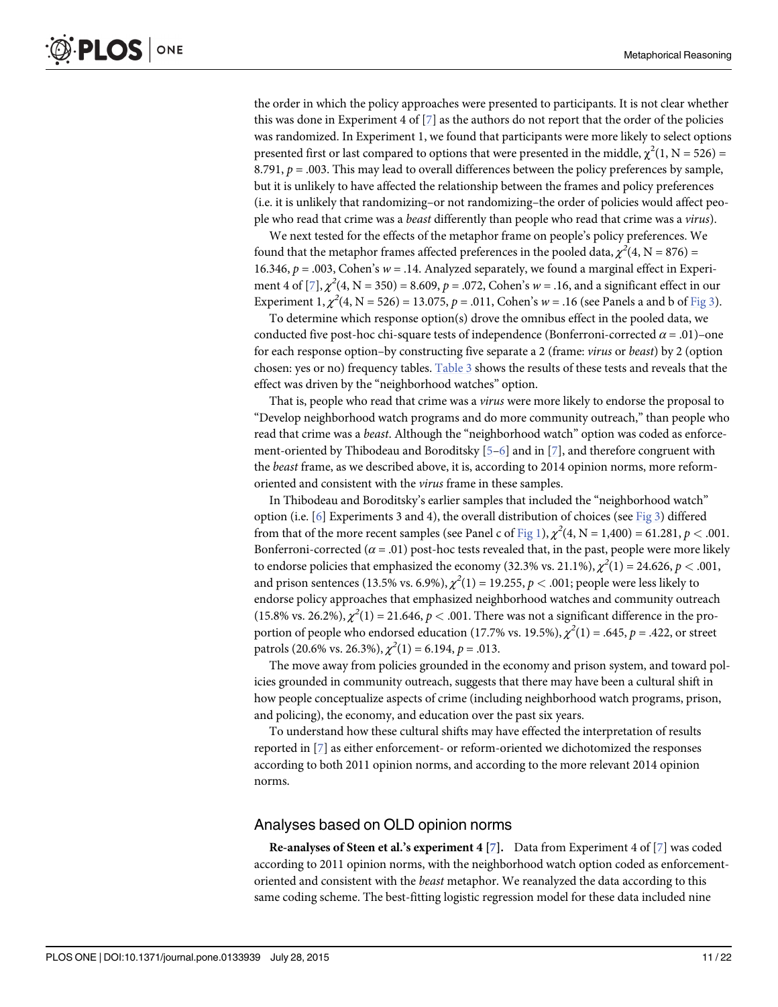<span id="page-10-0"></span>the order in which the policy approaches were presented to participants. It is not clear whether this was done in Experiment 4 of  $\lbrack 7 \rbrack$  $\lbrack 7 \rbrack$  $\lbrack 7 \rbrack$  as the authors do not report that the order of the policies was randomized. In Experiment 1, we found that participants were more likely to select options presented first or last compared to options that were presented in the middle,  $\chi^2(1, N = 526)$  = 8.791,  $p = .003$ . This may lead to overall differences between the policy preferences by sample, but it is unlikely to have affected the relationship between the frames and policy preferences (i.e. it is unlikely that randomizing–or not randomizing–the order of policies would affect people who read that crime was a beast differently than people who read that crime was a virus).

We next tested for the effects of the metaphor frame on people's policy preferences. We found that the metaphor frames affected preferences in the pooled data,  $\chi^2(4, N = 876)$  = 16.346,  $p = .003$ , Cohen's  $w = .14$ . Analyzed separately, we found a marginal effect in Experiment 4 of [*Z*],  $\chi^2(4, N = 350) = 8.609$ ,  $p = .072$ , Cohen's  $w = .16$ , and a significant effect in our Experiment 1,  $\chi^2(4, N = 526) = 13.075$ ,  $p = .011$ , Cohen's  $w = .16$  (see Panels a and b of [Fig 3\)](#page-11-0).

To determine which response option(s) drove the omnibus effect in the pooled data, we conducted five post-hoc chi-square tests of independence (Bonferroni-corrected  $\alpha = .01$ )–one for each response option–by constructing five separate a 2 (frame: virus or beast) by 2 (option chosen: yes or no) frequency tables. [Table 3](#page-12-0) shows the results of these tests and reveals that the effect was driven by the "neighborhood watches" option.

That is, people who read that crime was a virus were more likely to endorse the proposal to "Develop neighborhood watch programs and do more community outreach," than people who read that crime was a beast. Although the "neighborhood watch" option was coded as enforcement-oriented by Thibodeau and Boroditsky  $[5-6]$  $[5-6]$  $[5-6]$  and in  $[7]$  $[7]$ , and therefore congruent with the beast frame, as we described above, it is, according to 2014 opinion norms, more reformoriented and consistent with the virus frame in these samples.

In Thibodeau and Boroditsky's earlier samples that included the "neighborhood watch" option (i.e.  $[6]$  $[6]$  Experiments 3 and 4), the overall distribution of choices (see [Fig 3\)](#page-11-0) differed from that of the more recent samples (see Panel c of [Fig 1](#page-6-0)),  $\chi^2(4, N = 1,400) = 61.281$ ,  $p < .001$ . Bonferroni-corrected ( $\alpha$  = .01) post-hoc tests revealed that, in the past, people were more likely to endorse policies that emphasized the economy (32.3% vs. 21.1%),  $\chi^2(1)$  = 24.626,  $p < .001,$ and prison sentences (13.5% vs. 6.9%),  $\chi^2(1)$  = 19.255,  $p < .001;$  people were less likely to endorse policy approaches that emphasized neighborhood watches and community outreach (15.8% vs. 26.2%),  $\chi^2(1) = 21.646$ ,  $p < .001$ . There was not a significant difference in the proportion of people who endorsed education (17.7% vs. 19.5%),  $\chi^2(1) = .645$ ,  $p = .422$ , or street patrols (20.6% vs. 26.3%),  $\chi^2(1) = 6.194$ ,  $p = .013$ .

The move away from policies grounded in the economy and prison system, and toward policies grounded in community outreach, suggests that there may have been a cultural shift in how people conceptualize aspects of crime (including neighborhood watch programs, prison, and policing), the economy, and education over the past six years.

To understand how these cultural shifts may have effected the interpretation of results reported in [[7\]](#page-20-0) as either enforcement- or reform-oriented we dichotomized the responses according to both 2011 opinion norms, and according to the more relevant 2014 opinion norms.

## Analyses based on OLD opinion norms

**Re-analyses of Steen et al.'s experiment 4 [[7\]](#page-20-0).** Data from Experiment 4 of [\[7](#page-20-0)] was coded according to 2011 opinion norms, with the neighborhood watch option coded as enforcementoriented and consistent with the beast metaphor. We reanalyzed the data according to this same coding scheme. The best-fitting logistic regression model for these data included nine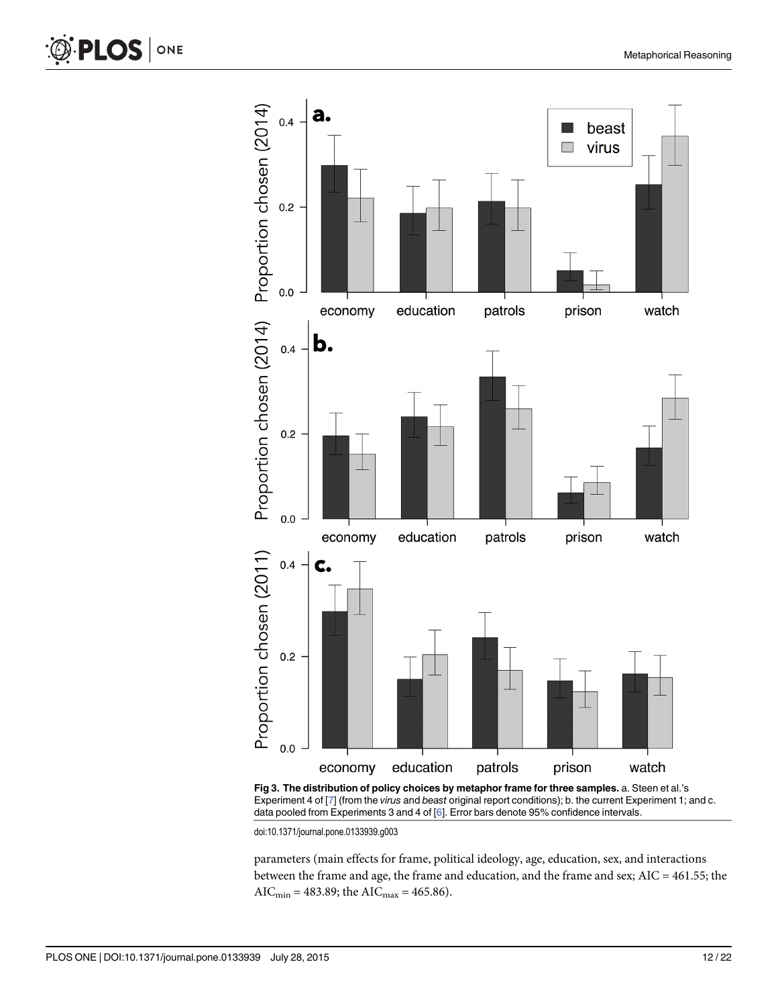<span id="page-11-0"></span>



[Fig 3. T](#page-10-0)he distribution of policy choices by metaphor frame for three samples. a. Steen et al.'s Experiment 4 of [\[7\]](#page-20-0) (from the virus and beast original report conditions); b. the current Experiment 1; and c. data pooled from Experiments 3 and 4 of [[6\]](#page-20-0). Error bars denote 95% confidence intervals.

doi:10.1371/journal.pone.0133939.g003

parameters (main effects for frame, political ideology, age, education, sex, and interactions between the frame and age, the frame and education, and the frame and sex; AIC = 461.55; the AIC<sub>min</sub> = 483.89; the AIC<sub>max</sub> = 465.86).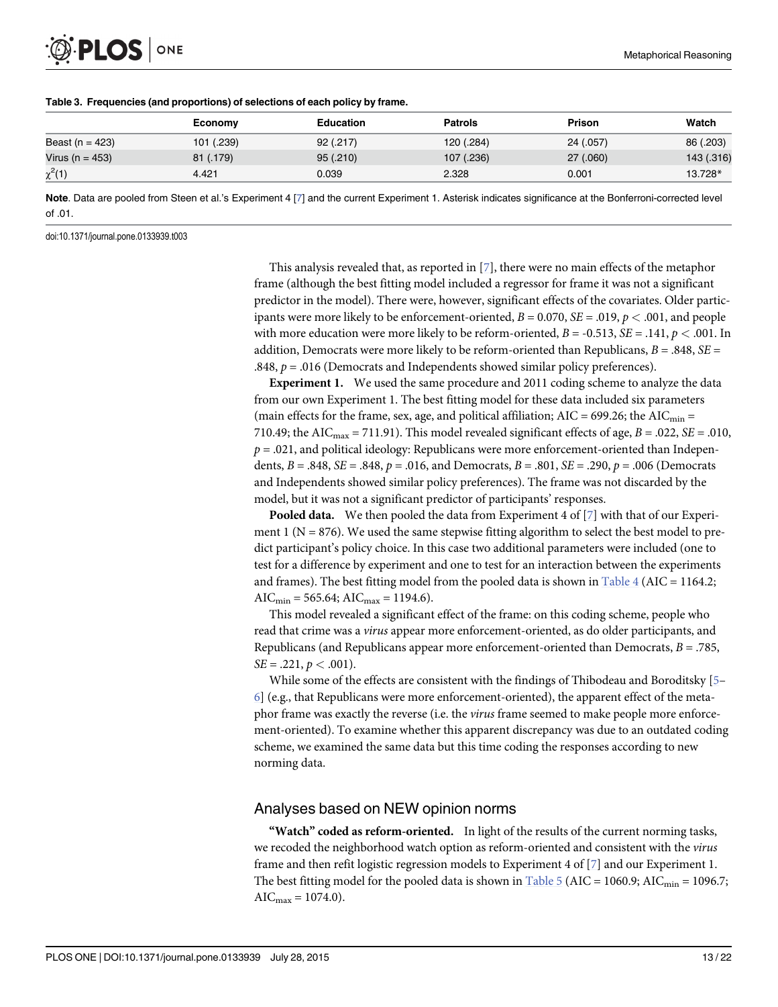|                 | Economy    | Education | <b>Patrols</b> | <b>Prison</b> | Watch      |
|-----------------|------------|-----------|----------------|---------------|------------|
| Beast (n = 423) | 101 (.239) | 92(.217)  | 120 (.284)     | 24 (.057)     | 86 (.203)  |
| Virus (n = 453) | 81 (.179)  | 95(.210)  | 107 (.236)     | 27(.060)      | 143 (.316) |
| $\chi^2(1)$     | 4.421      | 0.039     | 2.328          | 0.001         | 13.728*    |

#### <span id="page-12-0"></span>[Table 3.](#page-10-0) Frequencies (and proportions) of selections of each policy by frame.

Note. Data are pooled from Steen et al.'s Experiment 4 [\[7\]](#page-20-0) and the current Experiment 1. Asterisk indicates significance at the Bonferroni-corrected level of .01.

doi:10.1371/journal.pone.0133939.t003

This analysis revealed that, as reported in  $[7]$  $[7]$  $[7]$ , there were no main effects of the metaphor frame (although the best fitting model included a regressor for frame it was not a significant predictor in the model). There were, however, significant effects of the covariates. Older participants were more likely to be enforcement-oriented,  $B = 0.070$ ,  $SE = .019$ ,  $p < .001$ , and people with more education were more likely to be reform-oriented,  $B = -0.513$ ,  $SE = .141$ ,  $p < .001$ . In addition, Democrats were more likely to be reform-oriented than Republicans,  $B = .848$ ,  $SE =$ .848,  $p = .016$  (Democrats and Independents showed similar policy preferences).

Experiment 1. We used the same procedure and 2011 coding scheme to analyze the data from our own Experiment 1. The best fitting model for these data included six parameters (main effects for the frame, sex, age, and political affiliation;  $AIC = 699.26$ ; the  $AIC_{min} =$ 710.49; the AIC $_{\text{max}}$  = 711.91). This model revealed significant effects of age,  $B = .022$ ,  $SE = .010$ ,  $p = .021$ , and political ideology: Republicans were more enforcement-oriented than Independents,  $B = .848$ ,  $SE = .848$ ,  $p = .016$ , and Democrats,  $B = .801$ ,  $SE = .290$ ,  $p = .006$  (Democrats and Independents showed similar policy preferences). The frame was not discarded by the model, but it was not a significant predictor of participants' responses.

**Pooled data.** We then pooled the data from Experiment 4 of  $[7]$  with that of our Experiment 1 ( $N = 876$ ). We used the same stepwise fitting algorithm to select the best model to predict participant's policy choice. In this case two additional parameters were included (one to test for a difference by experiment and one to test for an interaction between the experiments and frames). The best fitting model from the pooled data is shown in Table  $4$  (AIC = 1164.2;  $AIC_{min} = 565.64; AIC_{max} = 1194.6.$ 

This model revealed a significant effect of the frame: on this coding scheme, people who read that crime was a virus appear more enforcement-oriented, as do older participants, and Republicans (and Republicans appear more enforcement-oriented than Democrats,  $B = .785$ ,  $SE = .221, p < .001$ ).

While some of the effects are consistent with the findings of Thibodeau and Boroditsky [\[5](#page-20-0)–  $6$ ] (e.g., that Republicans were more enforcement-oriented), the apparent effect of the metaphor frame was exactly the reverse (i.e. the virus frame seemed to make people more enforcement-oriented). To examine whether this apparent discrepancy was due to an outdated coding scheme, we examined the same data but this time coding the responses according to new norming data.

#### Analyses based on NEW opinion norms

"Watch" coded as reform-oriented. In light of the results of the current norming tasks, we recoded the neighborhood watch option as reform-oriented and consistent with the *virus* frame and then refit logistic regression models to Experiment 4 of [\[7\]](#page-20-0) and our Experiment 1. The best fitting model for the pooled data is shown in  $Table 5 (AIC = 1060.9; AIC<sub>min</sub> = 1096.7;$  $Table 5 (AIC = 1060.9; AIC<sub>min</sub> = 1096.7;$  $AIC_{max} = 1074.0$ .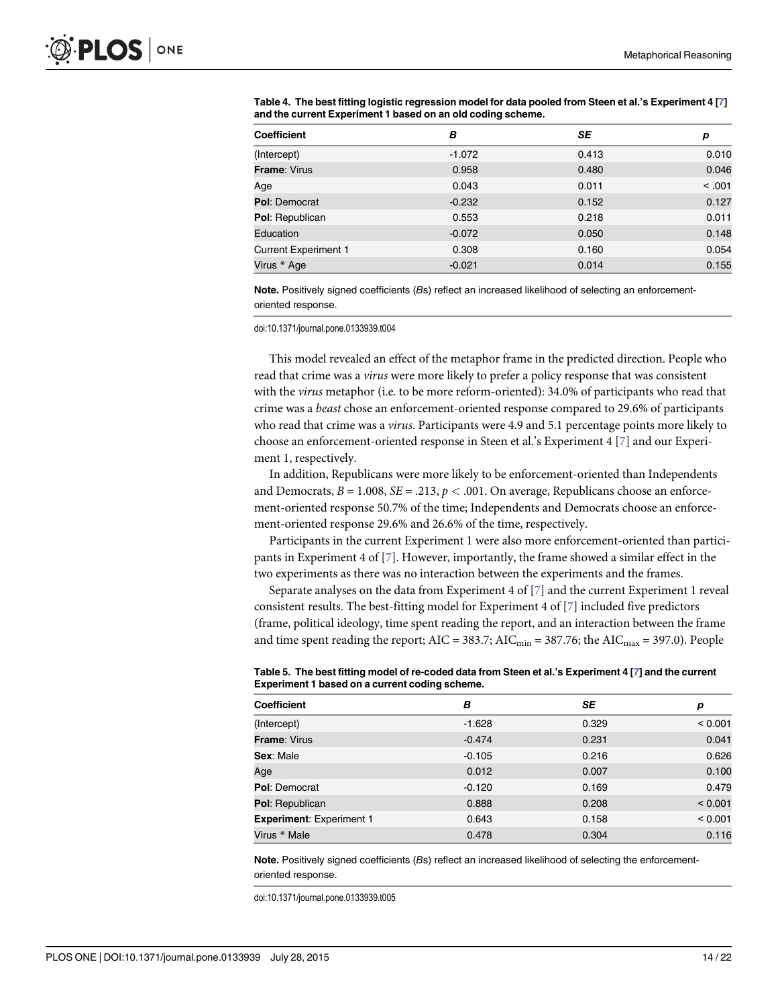| <b>Coefficient</b>          | в        | SE    | р      |
|-----------------------------|----------|-------|--------|
| (Intercept)                 | $-1.072$ | 0.413 | 0.010  |
| <b>Frame: Virus</b>         | 0.958    | 0.480 | 0.046  |
| Age                         | 0.043    | 0.011 | < .001 |
| <b>Pol: Democrat</b>        | $-0.232$ | 0.152 | 0.127  |
| Pol: Republican             | 0.553    | 0.218 | 0.011  |
| Education                   | $-0.072$ | 0.050 | 0.148  |
| <b>Current Experiment 1</b> | 0.308    | 0.160 | 0.054  |
| Virus * Age                 | $-0.021$ | 0.014 | 0.155  |

<span id="page-13-0"></span>[Table 4.](#page-12-0) The best fitting logistic regression model for data pooled from Steen et al.'s Experiment 4 [[7](#page-20-0)] and the current Experiment 1 based on an old coding scheme.

Note. Positively signed coefficients (Bs) reflect an increased likelihood of selecting an enforcementoriented response.

doi:10.1371/journal.pone.0133939.t004

This model revealed an effect of the metaphor frame in the predicted direction. People who read that crime was a virus were more likely to prefer a policy response that was consistent with the *virus* metaphor (i.e. to be more reform-oriented): 34.0% of participants who read that crime was a beast chose an enforcement-oriented response compared to 29.6% of participants who read that crime was a *virus*. Participants were 4.9 and 5.1 percentage points more likely to choose an enforcement-oriented response in Steen et al.'s Experiment 4 [[7](#page-20-0)] and our Experiment 1, respectively.

In addition, Republicans were more likely to be enforcement-oriented than Independents and Democrats,  $B = 1.008$ ,  $SE = .213$ ,  $p < .001$ . On average, Republicans choose an enforcement-oriented response 50.7% of the time; Independents and Democrats choose an enforcement-oriented response 29.6% and 26.6% of the time, respectively.

Participants in the current Experiment 1 were also more enforcement-oriented than participants in Experiment 4 of  $[7]$  $[7]$  $[7]$ . However, importantly, the frame showed a similar effect in the two experiments as there was no interaction between the experiments and the frames.

Separate analyses on the data from Experiment 4 of  $\lceil 7 \rceil$  and the current Experiment 1 reveal consistent results. The best-fitting model for Experiment 4 of [[7\]](#page-20-0) included five predictors (frame, political ideology, time spent reading the report, and an interaction between the frame and time spent reading the report;  $AIC = 383.7$ ;  $AIC<sub>min</sub> = 387.76$ ; the  $AIC<sub>max</sub> = 397.0$ ). People

| <b>Coefficient</b>              | B        | SE    | р       |
|---------------------------------|----------|-------|---------|
| (Intercept)                     | $-1.628$ | 0.329 | < 0.001 |
| <b>Frame: Virus</b>             | $-0.474$ | 0.231 | 0.041   |
| Sex: Male                       | $-0.105$ | 0.216 | 0.626   |
| Age                             | 0.012    | 0.007 | 0.100   |
| <b>Pol: Democrat</b>            | $-0.120$ | 0.169 | 0.479   |
| <b>Pol: Republican</b>          | 0.888    | 0.208 | < 0.001 |
| <b>Experiment: Experiment 1</b> | 0.643    | 0.158 | < 0.001 |
| Virus * Male                    | 0.478    | 0.304 | 0.116   |

[Table 5.](#page-12-0) The best fitting model of re-coded data from Steen et al.'s Experiment 4 [[7](#page-20-0)] and the current Experiment 1 based on a current coding scheme.

Note. Positively signed coefficients (Bs) reflect an increased likelihood of selecting the enforcementoriented response.

doi:10.1371/journal.pone.0133939.t005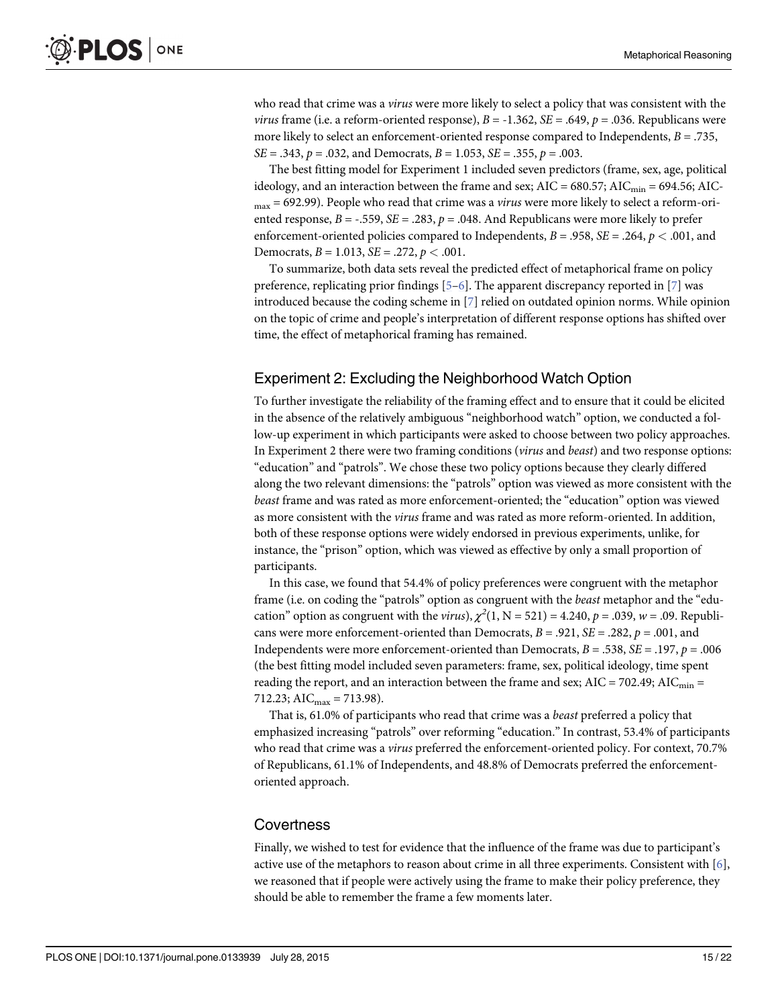who read that crime was a *virus* were more likely to select a policy that was consistent with the *virus* frame (i.e. a reform-oriented response),  $B = -1.362$ ,  $SE = .649$ ,  $p = .036$ . Republicans were more likely to select an enforcement-oriented response compared to Independents,  $B = .735$ ,  $SE = .343$ ,  $p = .032$ , and Democrats,  $B = 1.053$ ,  $SE = .355$ ,  $p = .003$ .

The best fitting model for Experiment 1 included seven predictors (frame, sex, age, political ideology, and an interaction between the frame and sex;  $AIC = 680.57$ ;  $AIC_{min} = 694.56$ ;  $AIC$  $_{\text{max}}$  = 692.99). People who read that crime was a *virus* were more likely to select a reform-oriented response,  $B = -.559$ ,  $SE = .283$ ,  $p = .048$ . And Republicans were more likely to prefer enforcement-oriented policies compared to Independents,  $B = .958$ ,  $SE = .264$ ,  $p < .001$ , and Democrats,  $B = 1.013$ ,  $SE = .272$ ,  $p < .001$ .

To summarize, both data sets reveal the predicted effect of metaphorical frame on policy preference, replicating prior findings  $[5-6]$  $[5-6]$  $[5-6]$ . The apparent discrepancy reported in  $[7]$  $[7]$  was introduced because the coding scheme in [\[7](#page-20-0)] relied on outdated opinion norms. While opinion on the topic of crime and people's interpretation of different response options has shifted over time, the effect of metaphorical framing has remained.

## Experiment 2: Excluding the Neighborhood Watch Option

To further investigate the reliability of the framing effect and to ensure that it could be elicited in the absence of the relatively ambiguous "neighborhood watch" option, we conducted a follow-up experiment in which participants were asked to choose between two policy approaches. In Experiment 2 there were two framing conditions (virus and beast) and two response options: "education" and "patrols". We chose these two policy options because they clearly differed along the two relevant dimensions: the "patrols" option was viewed as more consistent with the beast frame and was rated as more enforcement-oriented; the "education" option was viewed as more consistent with the virus frame and was rated as more reform-oriented. In addition, both of these response options were widely endorsed in previous experiments, unlike, for instance, the "prison" option, which was viewed as effective by only a small proportion of participants.

In this case, we found that 54.4% of policy preferences were congruent with the metaphor frame (i.e. on coding the "patrols" option as congruent with the beast metaphor and the "education" option as congruent with the *virus*),  $\chi^2(1, N = 521) = 4.240$ ,  $p = .039$ ,  $w = .09$ . Republicans were more enforcement-oriented than Democrats,  $B = .921$ ,  $SE = .282$ ,  $p = .001$ , and Independents were more enforcement-oriented than Democrats,  $B = .538$ ,  $SE = .197$ ,  $p = .006$ (the best fitting model included seven parameters: frame, sex, political ideology, time spent reading the report, and an interaction between the frame and sex;  $AIC = 702.49$ ;  $AIC_{min} =$ 712.23; AIC $_{\text{max}}$  = 713.98).

That is, 61.0% of participants who read that crime was a beast preferred a policy that emphasized increasing "patrols" over reforming "education." In contrast, 53.4% of participants who read that crime was a *virus* preferred the enforcement-oriented policy. For context, 70.7% of Republicans, 61.1% of Independents, and 48.8% of Democrats preferred the enforcementoriented approach.

#### **Covertness**

Finally, we wished to test for evidence that the influence of the frame was due to participant's active use of the metaphors to reason about crime in all three experiments. Consistent with  $[6]$ , we reasoned that if people were actively using the frame to make their policy preference, they should be able to remember the frame a few moments later.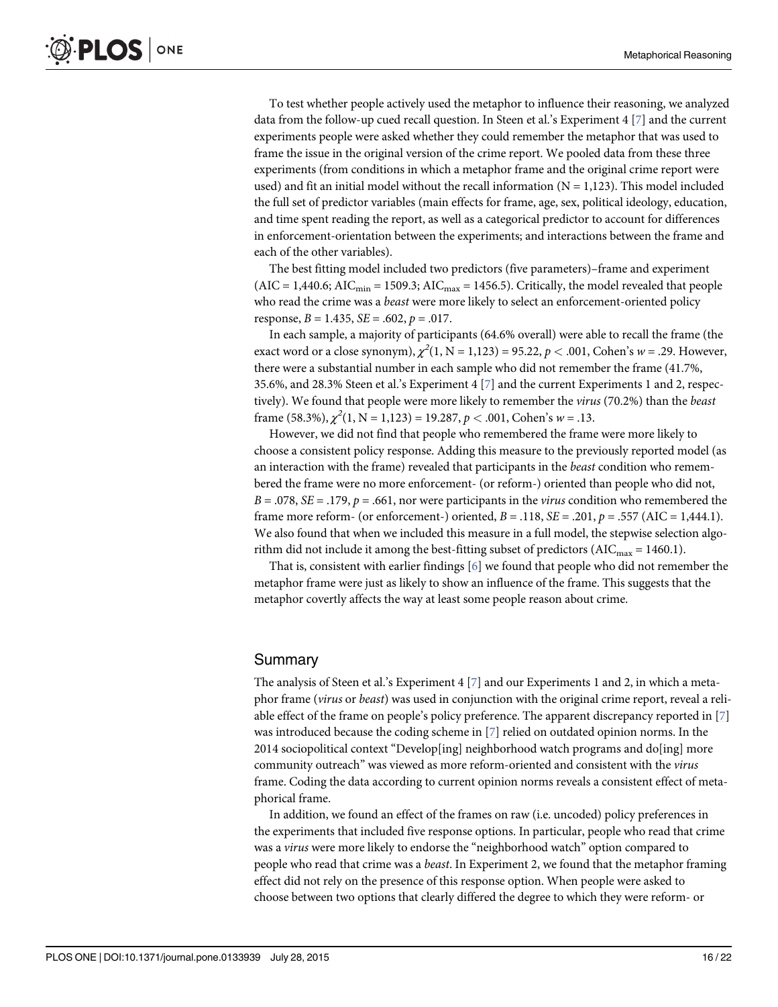To test whether people actively used the metaphor to influence their reasoning, we analyzed data from the follow-up cued recall question. In Steen et al.'s Experiment 4 [\[7](#page-20-0)] and the current experiments people were asked whether they could remember the metaphor that was used to frame the issue in the original version of the crime report. We pooled data from these three experiments (from conditions in which a metaphor frame and the original crime report were used) and fit an initial model without the recall information  $(N = 1,123)$ . This model included the full set of predictor variables (main effects for frame, age, sex, political ideology, education, and time spent reading the report, as well as a categorical predictor to account for differences in enforcement-orientation between the experiments; and interactions between the frame and each of the other variables).

The best fitting model included two predictors (five parameters)–frame and experiment  $(AIC = 1,440.6; AIC<sub>min</sub> = 1509.3; AIC<sub>max</sub> = 1456.5)$ . Critically, the model revealed that people who read the crime was a *beast* were more likely to select an enforcement-oriented policy response,  $B = 1.435$ ,  $SE = .602$ ,  $p = .017$ .

In each sample, a majority of participants (64.6% overall) were able to recall the frame (the exact word or a close synonym),  $\chi^2(1, N = 1,123) = 95.22, p < .001$ , Cohen's  $w = .29$ . However, there were a substantial number in each sample who did not remember the frame (41.7%, 35.6%, and 28.3% Steen et al.'s Experiment 4 [\[7](#page-20-0)] and the current Experiments 1 and 2, respectively). We found that people were more likely to remember the *virus* (70.2%) than the *beast* frame (58.3%),  $\chi^2(1, N = 1,123) = 19.287, p < .001$ , Cohen's w = .13.

However, we did not find that people who remembered the frame were more likely to choose a consistent policy response. Adding this measure to the previously reported model (as an interaction with the frame) revealed that participants in the beast condition who remembered the frame were no more enforcement- (or reform-) oriented than people who did not,  $B = .078$ ,  $SE = .179$ ,  $p = .661$ , nor were participants in the *virus* condition who remembered the frame more reform- (or enforcement-) oriented,  $B = .118$ ,  $SE = .201$ ,  $p = .557$  (AIC = 1,444.1). We also found that when we included this measure in a full model, the stepwise selection algorithm did not include it among the best-fitting subset of predictors ( $AIC_{max} = 1460.1$ ).

That is, consistent with earlier findings [\[6](#page-20-0)] we found that people who did not remember the metaphor frame were just as likely to show an influence of the frame. This suggests that the metaphor covertly affects the way at least some people reason about crime.

## **Summary**

The analysis of Steen et al.'s Experiment 4  $[\mathbb{Z}]$  and our Experiments 1 and 2, in which a metaphor frame (virus or beast) was used in conjunction with the original crime report, reveal a reliable effect of the frame on people's policy preference. The apparent discrepancy reported in [\[7](#page-20-0)] was introduced because the coding scheme in [\[7](#page-20-0)] relied on outdated opinion norms. In the 2014 sociopolitical context "Develop[ing] neighborhood watch programs and do[ing] more community outreach" was viewed as more reform-oriented and consistent with the virus frame. Coding the data according to current opinion norms reveals a consistent effect of metaphorical frame.

In addition, we found an effect of the frames on raw (i.e. uncoded) policy preferences in the experiments that included five response options. In particular, people who read that crime was a virus were more likely to endorse the "neighborhood watch" option compared to people who read that crime was a beast. In Experiment 2, we found that the metaphor framing effect did not rely on the presence of this response option. When people were asked to choose between two options that clearly differed the degree to which they were reform- or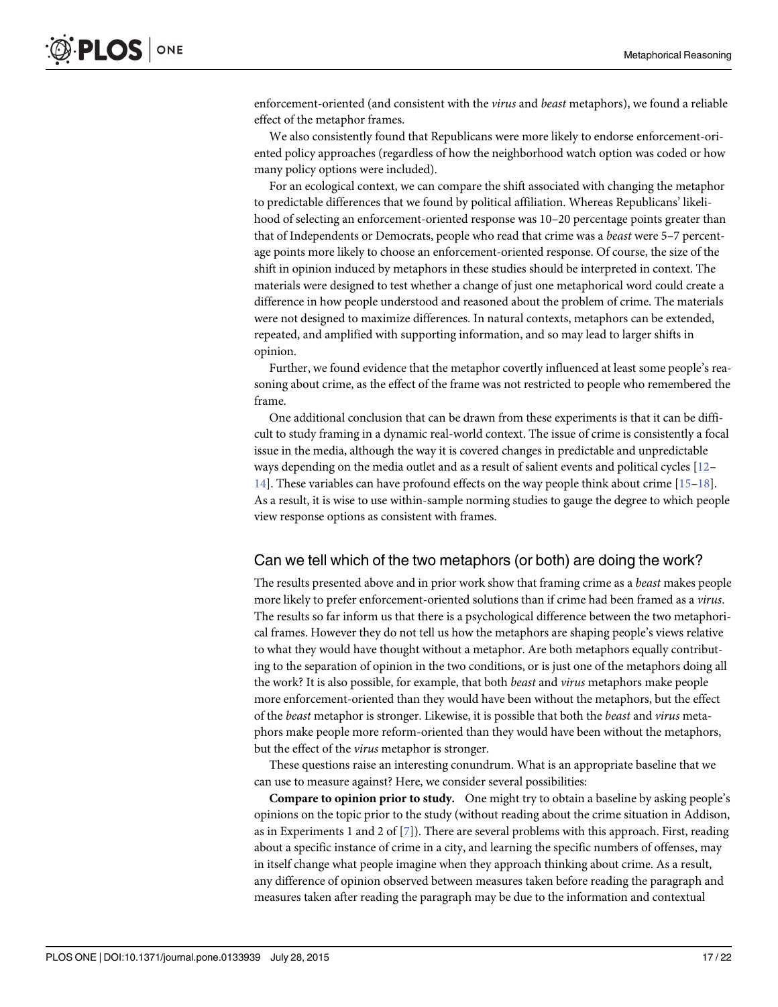<span id="page-16-0"></span>enforcement-oriented (and consistent with the *virus* and *beast* metaphors), we found a reliable effect of the metaphor frames.

We also consistently found that Republicans were more likely to endorse enforcement-oriented policy approaches (regardless of how the neighborhood watch option was coded or how many policy options were included).

For an ecological context, we can compare the shift associated with changing the metaphor to predictable differences that we found by political affiliation. Whereas Republicans' likelihood of selecting an enforcement-oriented response was  $10-20$  percentage points greater than that of Independents or Democrats, people who read that crime was a beast were 5–7 percentage points more likely to choose an enforcement-oriented response. Of course, the size of the shift in opinion induced by metaphors in these studies should be interpreted in context. The materials were designed to test whether a change of just one metaphorical word could create a difference in how people understood and reasoned about the problem of crime. The materials were not designed to maximize differences. In natural contexts, metaphors can be extended, repeated, and amplified with supporting information, and so may lead to larger shifts in opinion.

Further, we found evidence that the metaphor covertly influenced at least some people's reasoning about crime, as the effect of the frame was not restricted to people who remembered the frame.

One additional conclusion that can be drawn from these experiments is that it can be difficult to study framing in a dynamic real-world context. The issue of crime is consistently a focal issue in the media, although the way it is covered changes in predictable and unpredictable ways depending on the media outlet and as a result of salient events and political cycles [\[12](#page-21-0)– [14\]](#page-21-0). These variables can have profound effects on the way people think about crime  $[15-18]$  $[15-18]$  $[15-18]$  $[15-18]$ . As a result, it is wise to use within-sample norming studies to gauge the degree to which people view response options as consistent with frames.

## Can we tell which of the two metaphors (or both) are doing the work?

The results presented above and in prior work show that framing crime as a *beast* makes people more likely to prefer enforcement-oriented solutions than if crime had been framed as a virus. The results so far inform us that there is a psychological difference between the two metaphorical frames. However they do not tell us how the metaphors are shaping people's views relative to what they would have thought without a metaphor. Are both metaphors equally contributing to the separation of opinion in the two conditions, or is just one of the metaphors doing all the work? It is also possible, for example, that both beast and virus metaphors make people more enforcement-oriented than they would have been without the metaphors, but the effect of the beast metaphor is stronger. Likewise, it is possible that both the beast and virus metaphors make people more reform-oriented than they would have been without the metaphors, but the effect of the virus metaphor is stronger.

These questions raise an interesting conundrum. What is an appropriate baseline that we can use to measure against? Here, we consider several possibilities:

Compare to opinion prior to study. One might try to obtain a baseline by asking people's opinions on the topic prior to the study (without reading about the crime situation in Addison, as in Experiments 1 and 2 of  $[7]$  $[7]$ ). There are several problems with this approach. First, reading about a specific instance of crime in a city, and learning the specific numbers of offenses, may in itself change what people imagine when they approach thinking about crime. As a result, any difference of opinion observed between measures taken before reading the paragraph and measures taken after reading the paragraph may be due to the information and contextual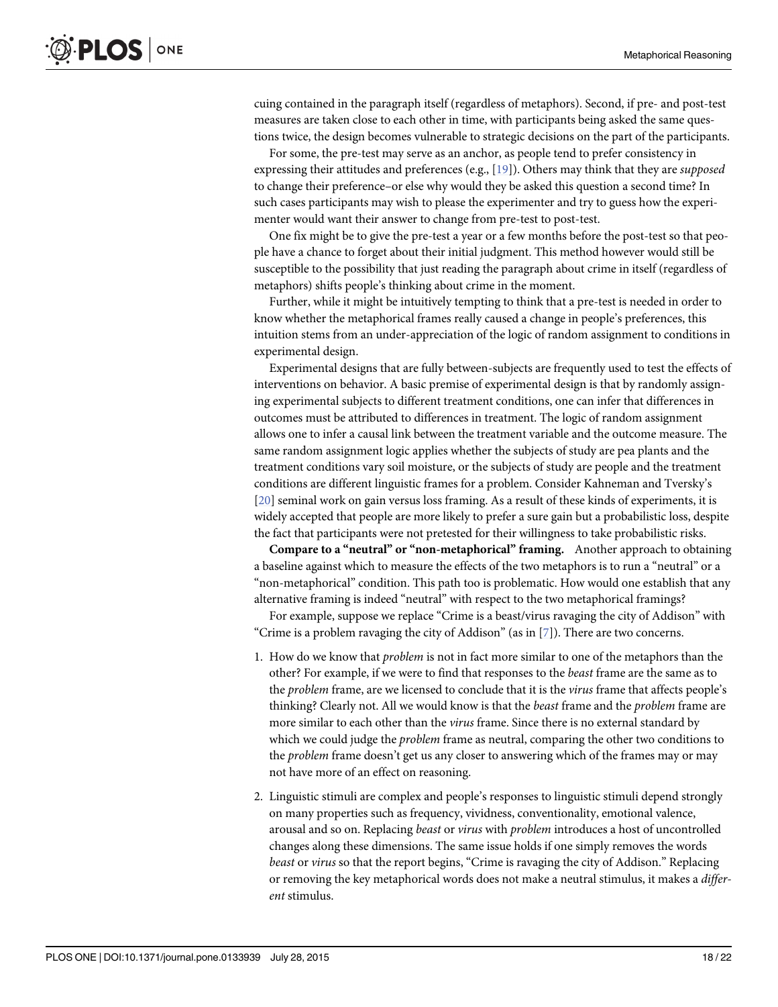<span id="page-17-0"></span>cuing contained in the paragraph itself (regardless of metaphors). Second, if pre- and post-test measures are taken close to each other in time, with participants being asked the same questions twice, the design becomes vulnerable to strategic decisions on the part of the participants.

For some, the pre-test may serve as an anchor, as people tend to prefer consistency in expressing their attitudes and preferences (e.g.,  $[19]$  $[19]$  $[19]$ ). Others may think that they are *supposed* to change their preference–or else why would they be asked this question a second time? In such cases participants may wish to please the experimenter and try to guess how the experimenter would want their answer to change from pre-test to post-test.

One fix might be to give the pre-test a year or a few months before the post-test so that people have a chance to forget about their initial judgment. This method however would still be susceptible to the possibility that just reading the paragraph about crime in itself (regardless of metaphors) shifts people's thinking about crime in the moment.

Further, while it might be intuitively tempting to think that a pre-test is needed in order to know whether the metaphorical frames really caused a change in people's preferences, this intuition stems from an under-appreciation of the logic of random assignment to conditions in experimental design.

Experimental designs that are fully between-subjects are frequently used to test the effects of interventions on behavior. A basic premise of experimental design is that by randomly assigning experimental subjects to different treatment conditions, one can infer that differences in outcomes must be attributed to differences in treatment. The logic of random assignment allows one to infer a causal link between the treatment variable and the outcome measure. The same random assignment logic applies whether the subjects of study are pea plants and the treatment conditions vary soil moisture, or the subjects of study are people and the treatment conditions are different linguistic frames for a problem. Consider Kahneman and Tversky's [\[20](#page-21-0)] seminal work on gain versus loss framing. As a result of these kinds of experiments, it is widely accepted that people are more likely to prefer a sure gain but a probabilistic loss, despite the fact that participants were not pretested for their willingness to take probabilistic risks.

Compare to a "neutral" or "non-metaphorical" framing. Another approach to obtaining a baseline against which to measure the effects of the two metaphors is to run a "neutral" or a "non-metaphorical" condition. This path too is problematic. How would one establish that any alternative framing is indeed "neutral" with respect to the two metaphorical framings?

For example, suppose we replace "Crime is a beast/virus ravaging the city of Addison" with "Crime is a problem ravaging the city of Addison" (as in  $[7]$  $[7]$  $[7]$ ). There are two concerns.

- 1. How do we know that problem is not in fact more similar to one of the metaphors than the other? For example, if we were to find that responses to the beast frame are the same as to the problem frame, are we licensed to conclude that it is the virus frame that affects people's thinking? Clearly not. All we would know is that the beast frame and the problem frame are more similar to each other than the *virus* frame. Since there is no external standard by which we could judge the *problem* frame as neutral, comparing the other two conditions to the problem frame doesn't get us any closer to answering which of the frames may or may not have more of an effect on reasoning.
- 2. Linguistic stimuli are complex and people's responses to linguistic stimuli depend strongly on many properties such as frequency, vividness, conventionality, emotional valence, arousal and so on. Replacing *beast* or *virus* with *problem* introduces a host of uncontrolled changes along these dimensions. The same issue holds if one simply removes the words beast or virus so that the report begins, "Crime is ravaging the city of Addison." Replacing or removing the key metaphorical words does not make a neutral stimulus, it makes a *differ*ent stimulus.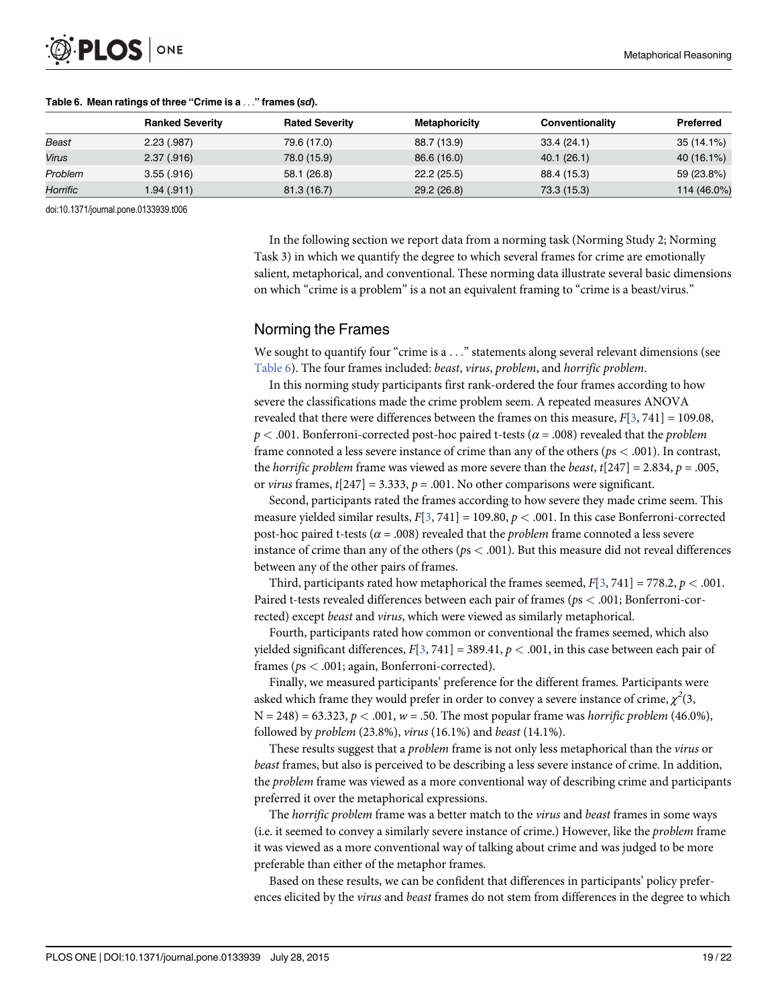

|          | <b>Ranked Severity</b> | <b>Rated Severity</b> | Metaphoricity | Conventionality | Preferred   |
|----------|------------------------|-----------------------|---------------|-----------------|-------------|
| Beast    | 2.23(.987)             | 79.6 (17.0)           | 88.7 (13.9)   | 33.4(24.1)      | 35 (14.1%)  |
| Virus    | 2.37(.916)             | 78.0 (15.9)           | 86.6 (16.0)   | 40.1 (26.1)     | 40 (16.1%)  |
| Problem  | 3.55(.916)             | 58.1 (26.8)           | 22.2(25.5)    | 88.4 (15.3)     | 59 (23.8%)  |
| Horrific | 1.94 (.911)            | 81.3(16.7)            | 29.2(26.8)    | 73.3 (15.3)     | 114 (46.0%) |

#### Table 6. Mean ratings of three "Crime is a ..." frames (sd).

doi:10.1371/journal.pone.0133939.t006

In the following section we report data from a norming task (Norming Study 2; Norming Task 3) in which we quantify the degree to which several frames for crime are emotionally salient, metaphorical, and conventional. These norming data illustrate several basic dimensions on which "crime is a problem" is a not an equivalent framing to "crime is a beast/virus."

## Norming the Frames

We sought to quantify four "crime is  $a \ldots$ " statements along several relevant dimensions (see Table 6). The four frames included: beast, virus, problem, and horrific problem.

In this norming study participants first rank-ordered the four frames according to how severe the classifications made the crime problem seem. A repeated measures ANOVA revealed that there were differences between the frames on this measure,  $F[3, 741] = 109.08$  $F[3, 741] = 109.08$  $F[3, 741] = 109.08$ ,  $p < .001$ . Bonferroni-corrected post-hoc paired t-tests ( $\alpha = .008$ ) revealed that the *problem* frame connoted a less severe instance of crime than any of the others ( $ps < .001$ ). In contrast, the horrific problem frame was viewed as more severe than the beast,  $t[247] = 2.834$ ,  $p = .005$ , or virus frames,  $t[247] = 3.333$ ,  $p = .001$ . No other comparisons were significant.

Second, participants rated the frames according to how severe they made crime seem. This measure yielded similar results,  $F[3, 741] = 109.80, p < .001$  $F[3, 741] = 109.80, p < .001$  $F[3, 741] = 109.80, p < .001$ . In this case Bonferroni-corrected post-hoc paired t-tests ( $\alpha$  = .008) revealed that the *problem* frame connoted a less severe instance of crime than any of the others ( $ps < .001$ ). But this measure did not reveal differences between any of the other pairs of frames.

Third, participants rated how metaphorical the frames seemed,  $F[3, 741] = 778.2$  $F[3, 741] = 778.2$  $F[3, 741] = 778.2$ ,  $p < .001$ . Paired t-tests revealed differences between each pair of frames (ps < .001; Bonferroni-corrected) except beast and virus, which were viewed as similarly metaphorical.

Fourth, participants rated how common or conventional the frames seemed, which also yielded significant differences,  $F[3, 741] = 389.41$  $F[3, 741] = 389.41$  $F[3, 741] = 389.41$ ,  $p < .001$ , in this case between each pair of frames (ps < .001; again, Bonferroni-corrected).

Finally, we measured participants' preference for the different frames. Participants were asked which frame they would prefer in order to convey a severe instance of crime,  $\chi^2(3,0)$  $N = 248$ ) = 63.323,  $p < .001$ ,  $w = .50$ . The most popular frame was horrific problem (46.0%), followed by problem (23.8%), virus (16.1%) and beast (14.1%).

These results suggest that a problem frame is not only less metaphorical than the virus or beast frames, but also is perceived to be describing a less severe instance of crime. In addition, the *problem* frame was viewed as a more conventional way of describing crime and participants preferred it over the metaphorical expressions.

The *horrific problem* frame was a better match to the *virus* and *beast* frames in some ways (i.e. it seemed to convey a similarly severe instance of crime.) However, like the problem frame it was viewed as a more conventional way of talking about crime and was judged to be more preferable than either of the metaphor frames.

Based on these results, we can be confident that differences in participants' policy preferences elicited by the virus and beast frames do not stem from differences in the degree to which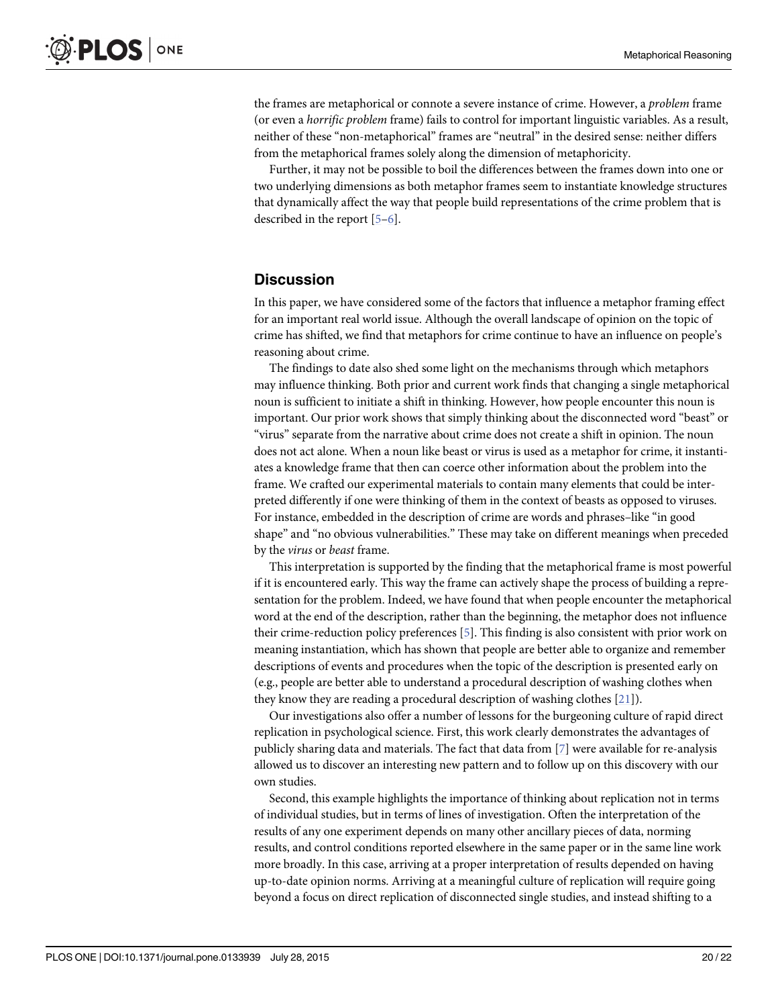<span id="page-19-0"></span>the frames are metaphorical or connote a severe instance of crime. However, a problem frame (or even a horrific problem frame) fails to control for important linguistic variables. As a result, neither of these "non-metaphorical" frames are "neutral" in the desired sense: neither differs from the metaphorical frames solely along the dimension of metaphoricity.

Further, it may not be possible to boil the differences between the frames down into one or two underlying dimensions as both metaphor frames seem to instantiate knowledge structures that dynamically affect the way that people build representations of the crime problem that is described in the report [\[5](#page-20-0)–[6](#page-20-0)].

## **Discussion**

In this paper, we have considered some of the factors that influence a metaphor framing effect for an important real world issue. Although the overall landscape of opinion on the topic of crime has shifted, we find that metaphors for crime continue to have an influence on people's reasoning about crime.

The findings to date also shed some light on the mechanisms through which metaphors may influence thinking. Both prior and current work finds that changing a single metaphorical noun is sufficient to initiate a shift in thinking. However, how people encounter this noun is important. Our prior work shows that simply thinking about the disconnected word "beast" or "virus" separate from the narrative about crime does not create a shift in opinion. The noun does not act alone. When a noun like beast or virus is used as a metaphor for crime, it instantiates a knowledge frame that then can coerce other information about the problem into the frame. We crafted our experimental materials to contain many elements that could be interpreted differently if one were thinking of them in the context of beasts as opposed to viruses. For instance, embedded in the description of crime are words and phrases–like "in good shape" and "no obvious vulnerabilities." These may take on different meanings when preceded by the virus or beast frame.

This interpretation is supported by the finding that the metaphorical frame is most powerful if it is encountered early. This way the frame can actively shape the process of building a representation for the problem. Indeed, we have found that when people encounter the metaphorical word at the end of the description, rather than the beginning, the metaphor does not influence their crime-reduction policy preferences [\[5\]](#page-20-0). This finding is also consistent with prior work on meaning instantiation, which has shown that people are better able to organize and remember descriptions of events and procedures when the topic of the description is presented early on (e.g., people are better able to understand a procedural description of washing clothes when they know they are reading a procedural description of washing clothes [[21\]](#page-21-0)).

Our investigations also offer a number of lessons for the burgeoning culture of rapid direct replication in psychological science. First, this work clearly demonstrates the advantages of publicly sharing data and materials. The fact that data from [\[7\]](#page-20-0) were available for re-analysis allowed us to discover an interesting new pattern and to follow up on this discovery with our own studies.

Second, this example highlights the importance of thinking about replication not in terms of individual studies, but in terms of lines of investigation. Often the interpretation of the results of any one experiment depends on many other ancillary pieces of data, norming results, and control conditions reported elsewhere in the same paper or in the same line work more broadly. In this case, arriving at a proper interpretation of results depended on having up-to-date opinion norms. Arriving at a meaningful culture of replication will require going beyond a focus on direct replication of disconnected single studies, and instead shifting to a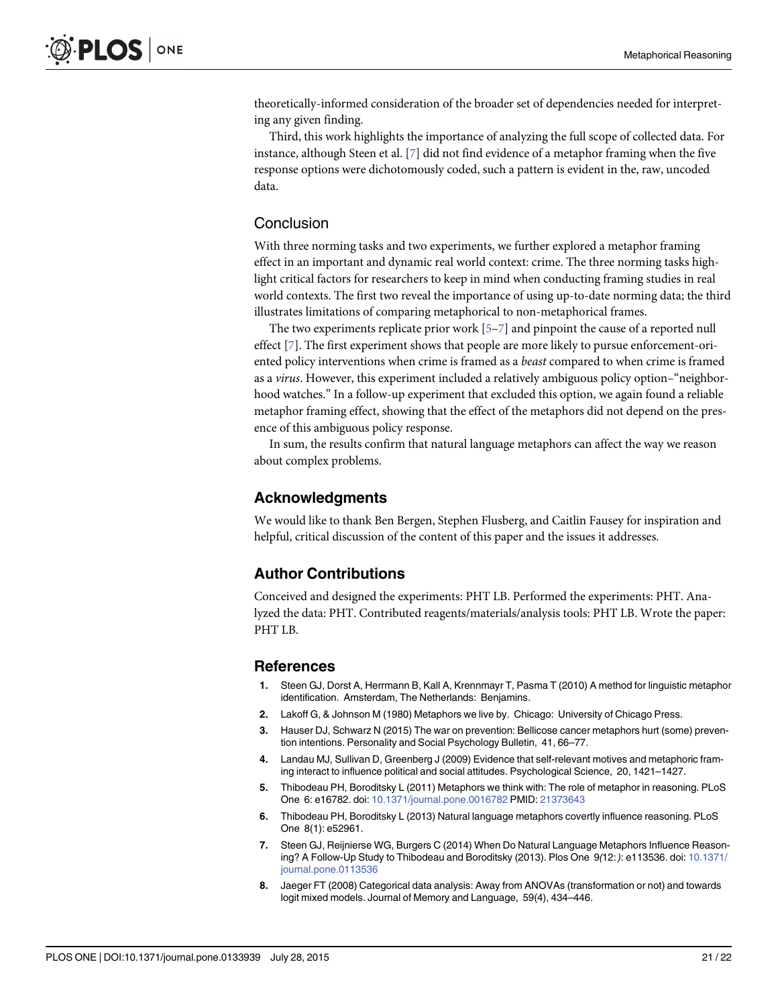<span id="page-20-0"></span>theoretically-informed consideration of the broader set of dependencies needed for interpreting any given finding.

Third, this work highlights the importance of analyzing the full scope of collected data. For instance, although Steen et al. [7] did not find evidence of a metaphor framing when the five response options were dichotomously coded, such a pattern is evident in the, raw, uncoded data.

## Conclusion

With three norming tasks and two experiments, we further explored a metaphor framing effect in an important and dynamic real world context: crime. The three norming tasks highlight critical factors for researchers to keep in mind when conducting framing studies in real world contexts. The first two reveal the importance of using up-to-date norming data; the third illustrates limitations of comparing metaphorical to non-metaphorical frames.

The two experiments replicate prior work  $[5-7]$  and pinpoint the cause of a reported null effect [7]. The first experiment shows that people are more likely to pursue enforcement-oriented policy interventions when crime is framed as a beast compared to when crime is framed as a virus. However, this experiment included a relatively ambiguous policy option–"neighborhood watches." In a follow-up experiment that excluded this option, we again found a reliable metaphor framing effect, showing that the effect of the metaphors did not depend on the presence of this ambiguous policy response.

In sum, the results confirm that natural language metaphors can affect the way we reason about complex problems.

## Acknowledgments

We would like to thank Ben Bergen, Stephen Flusberg, and Caitlin Fausey for inspiration and helpful, critical discussion of the content of this paper and the issues it addresses.

## Author Contributions

Conceived and designed the experiments: PHT LB. Performed the experiments: PHT. Analyzed the data: PHT. Contributed reagents/materials/analysis tools: PHT LB. Wrote the paper: PHT LB.

#### References

- [1.](#page-0-0) Steen GJ, Dorst A, Herrmann B, Kall A, Krennmayr T, Pasma T (2010) A method for linguistic metaphor identification. Amsterdam, The Netherlands: Benjamins.
- [2.](#page-0-0) Lakoff G, & Johnson M (1980) Metaphors we live by. Chicago: University of Chicago Press.
- [3.](#page-0-0) Hauser DJ, Schwarz N (2015) The war on prevention: Bellicose cancer metaphors hurt (some) prevention intentions. Personality and Social Psychology Bulletin, 41, 66–77.
- 4. Landau MJ, Sullivan D, Greenberg J (2009) Evidence that self-relevant motives and metaphoric framing interact to influence political and social attitudes. Psychological Science, 20, 1421–1427.
- [5.](#page-0-0) Thibodeau PH, Boroditsky L (2011) Metaphors we think with: The role of metaphor in reasoning. PLoS One 6: e16782. doi: [10.1371/journal.pone.0016782](http://dx.doi.org/10.1371/journal.pone.0016782) PMID: [21373643](http://www.ncbi.nlm.nih.gov/pubmed/21373643)
- [6.](#page-0-0) Thibodeau PH, Boroditsky L (2013) Natural language metaphors covertly influence reasoning. PLoS One 8(1): e52961.
- [7.](#page-0-0) Steen GJ, Reijnierse WG, Burgers C (2014) When Do Natural Language Metaphors Influence Reasoning? A Follow-Up Study to Thibodeau and Boroditsky (2013). Plos One 9(12: ): e113536. doi: [10.1371/](http://dx.doi.org/10.1371/journal.pone.0113536) [journal.pone.0113536](http://dx.doi.org/10.1371/journal.pone.0113536)
- [8.](#page-8-0) Jaeger FT (2008) Categorical data analysis: Away from ANOVAs (transformation or not) and towards logit mixed models. Journal of Memory and Language, 59(4), 434–446.